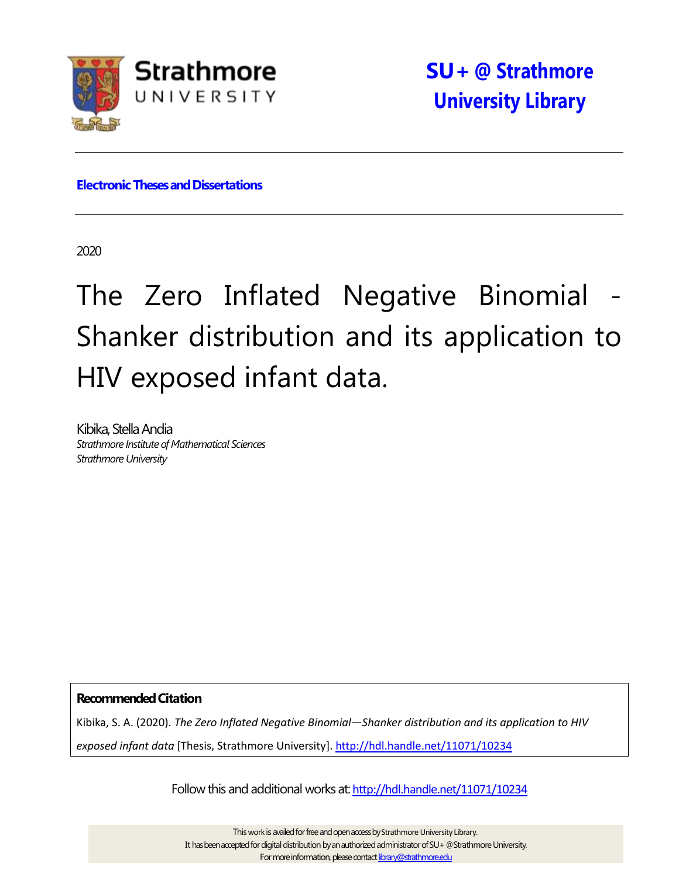

**Electronic Theses and Dissertations** 

2020

# The Zero Inflated Negative Binomial Shanker distribution and its application to HIV exposed infant data.

Kibika, Stella Andia *Strathmore Institute of Mathematical Sciences StrathmoreUniversity*

**RecommendedCitation**

Kibika, S. A. (2020). *The Zero Inflated Negative Binomial—Shanker distribution and its application to HIV exposed infant data* [Thesis, Strathmore University]. <http://hdl.handle.net/11071/10234>

Follow this and additional works at: <http://hdl.handle.net/11071/10234>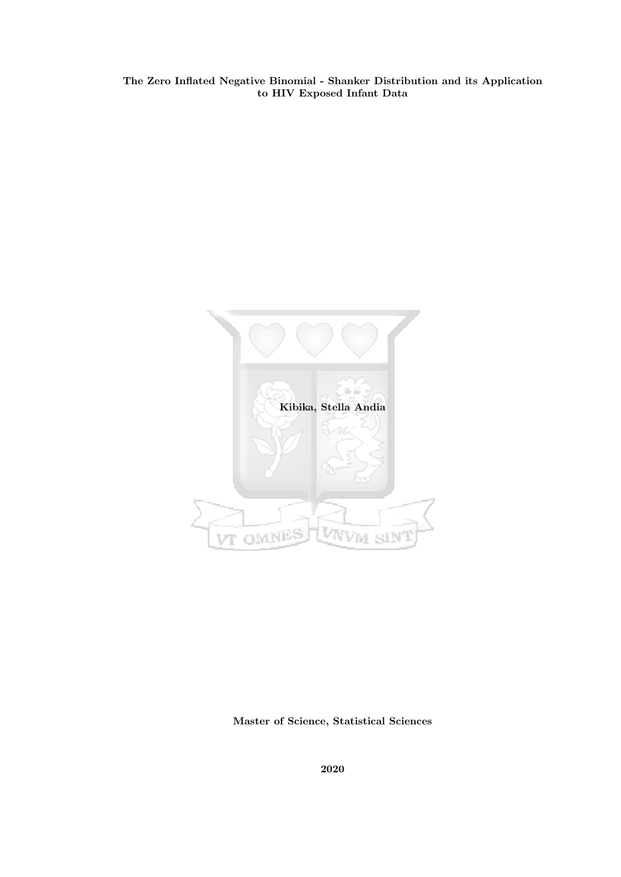The Zero Inflated Negative Binomial - Shanker Distribution and its Application to HIV Exposed Infant Data



Master of Science, Statistical Sciences

2020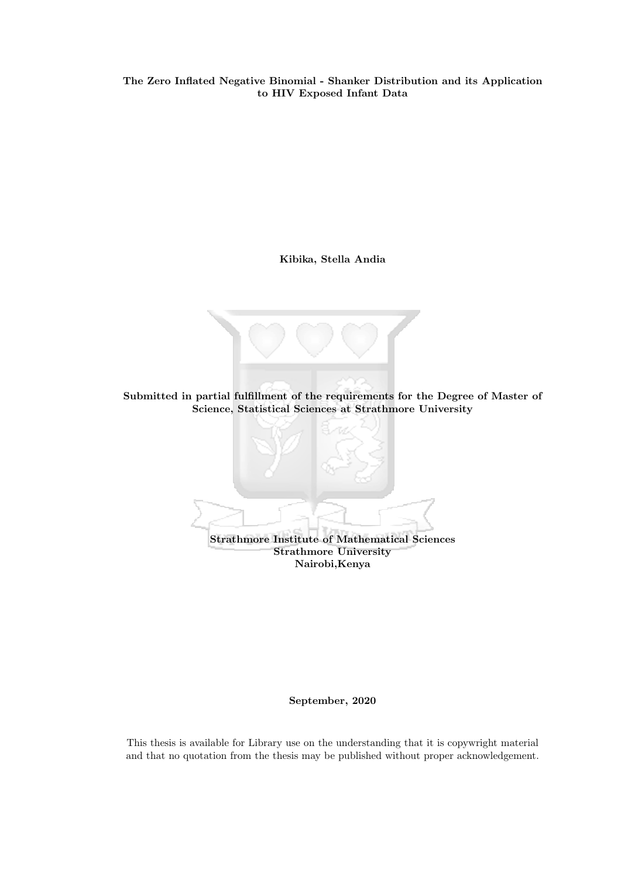The Zero Inflated Negative Binomial - Shanker Distribution and its Application to HIV Exposed Infant Data

Kibika, Stella Andia



Strathmore Institute of Mathematical Sciences Strathmore University Nairobi,Kenya

September, 2020

This thesis is available for Library use on the understanding that it is copywright material and that no quotation from the thesis may be published without proper acknowledgement.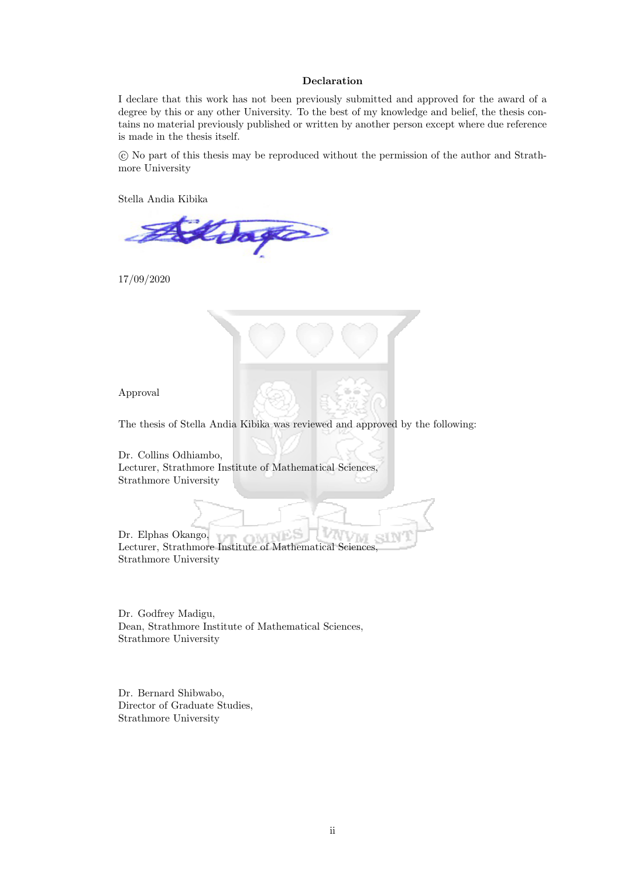#### Declaration

I declare that this work has not been previously submitted and approved for the award of a degree by this or any other University. To the best of my knowledge and belief, the thesis contains no material previously published or written by another person except where due reference is made in the thesis itself.

 c No part of this thesis may be reproduced without the permission of the author and Strathmore University

Stella Andia Kibika

 $\cos \theta$ 

17/09/2020



Approval

The thesis of Stella Andia Kibika was reviewed and approved by the following:

Dr. Collins Odhiambo, Lecturer, Strathmore Institute of Mathematical Sciences, Strathmore University

Dr. Elphas Okango, Lecturer, Strathmore Institute of Mathematical Sciences, Strathmore University

Dr. Godfrey Madigu, Dean, Strathmore Institute of Mathematical Sciences, Strathmore University

Dr. Bernard Shibwabo, Director of Graduate Studies, Strathmore University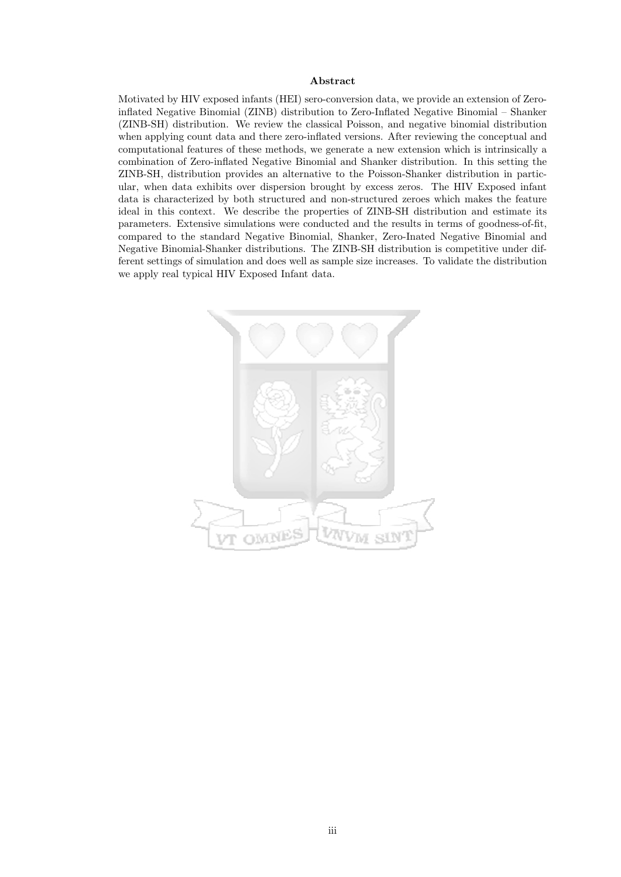#### Abstract

Motivated by HIV exposed infants (HEI) sero-conversion data, we provide an extension of Zeroinflated Negative Binomial (ZINB) distribution to Zero-Inflated Negative Binomial – Shanker (ZINB-SH) distribution. We review the classical Poisson, and negative binomial distribution when applying count data and there zero-inflated versions. After reviewing the conceptual and computational features of these methods, we generate a new extension which is intrinsically a combination of Zero-inflated Negative Binomial and Shanker distribution. In this setting the ZINB-SH, distribution provides an alternative to the Poisson-Shanker distribution in particular, when data exhibits over dispersion brought by excess zeros. The HIV Exposed infant data is characterized by both structured and non-structured zeroes which makes the feature ideal in this context. We describe the properties of ZINB-SH distribution and estimate its parameters. Extensive simulations were conducted and the results in terms of goodness-of-fit, compared to the standard Negative Binomial, Shanker, Zero-Inated Negative Binomial and Negative Binomial-Shanker distributions. The ZINB-SH distribution is competitive under different settings of simulation and does well as sample size increases. To validate the distribution we apply real typical HIV Exposed Infant data.

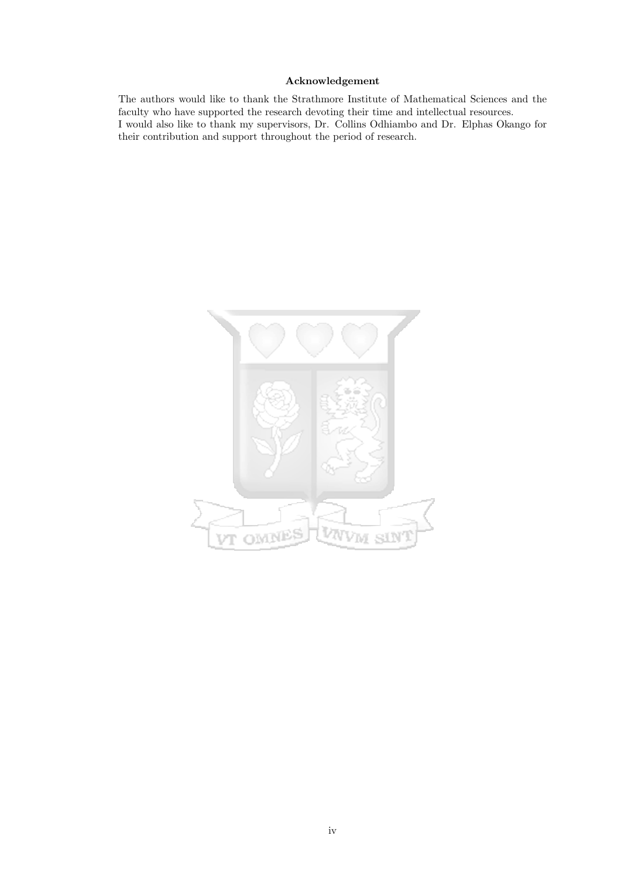#### Acknowledgement

The authors would like to thank the Strathmore Institute of Mathematical Sciences and the faculty who have supported the research devoting their time and intellectual resources. I would also like to thank my supervisors, Dr. Collins Odhiambo and Dr. Elphas Okango for their contribution and support throughout the period of research.

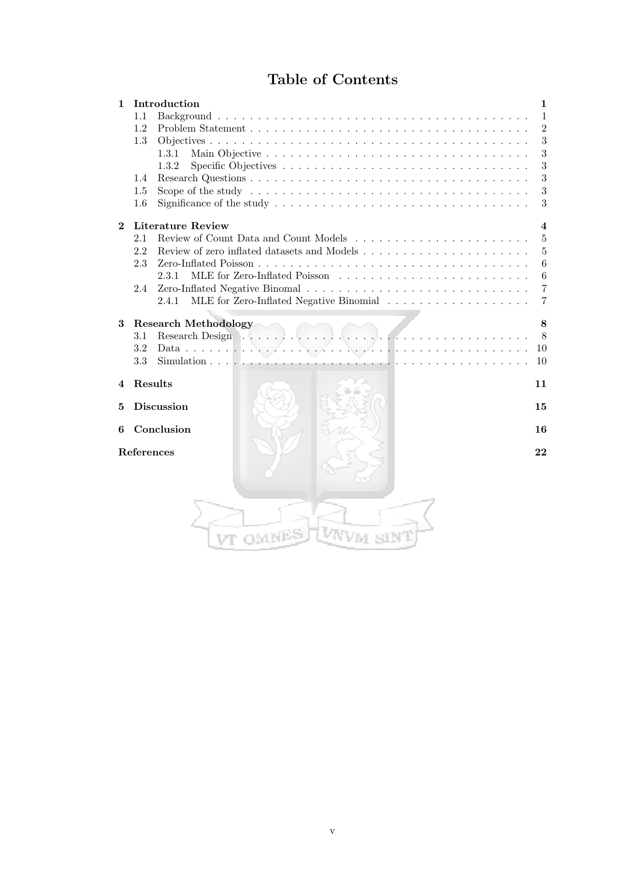# Table of Contents

| 1            |         | Introduction                                                                                                   | 1                        |
|--------------|---------|----------------------------------------------------------------------------------------------------------------|--------------------------|
|              | 1.1     |                                                                                                                | 1                        |
|              | 1.2     |                                                                                                                | $\overline{2}$           |
|              | 1.3     |                                                                                                                | $\sqrt{3}$               |
|              |         | 1.3.1                                                                                                          | 3                        |
|              |         | 1.3.2                                                                                                          | 3                        |
|              | 1.4     |                                                                                                                | 3                        |
|              | 1.5     | Scope of the study $\dots \dots \dots \dots \dots \dots \dots \dots \dots \dots \dots \dots \dots \dots \dots$ | 3                        |
|              | 1.6     |                                                                                                                | 3                        |
| $\mathbf{2}$ |         | <b>Literature Review</b>                                                                                       | $\overline{\mathcal{A}}$ |
|              | 2.1     |                                                                                                                | 5                        |
|              | 2.2     | Review of zero inflated datasets and Models $\dots$ , $\dots$ , $\dots$ , $\dots$ , $\dots$ , $\dots$ ,        | 5                        |
|              | 2.3     |                                                                                                                | 6                        |
|              |         | 2.3.1                                                                                                          | $6\phantom{.}6$          |
|              | 2.4     |                                                                                                                | $\overline{7}$           |
|              |         | 2.4.1                                                                                                          | $\overline{7}$           |
| 3            |         | <b>Research Methodology</b>                                                                                    | 8                        |
|              | 3.1     | Research Design<br>7.                                                                                          | 8                        |
|              | 3.2     | Data $\ldots \ldots \ldots \ldots \ldots$                                                                      | 10                       |
|              | 3.3     | .                                                                                                              | 10                       |
| 4            | Results |                                                                                                                | 11                       |
|              |         |                                                                                                                |                          |
| 5            |         | <b>Discussion</b>                                                                                              | 15                       |
| 6            |         | Conclusion                                                                                                     | 16                       |
|              |         | References                                                                                                     | 22                       |
|              |         |                                                                                                                |                          |
|              |         |                                                                                                                |                          |
|              |         |                                                                                                                |                          |
|              |         |                                                                                                                |                          |
|              |         |                                                                                                                |                          |
|              |         |                                                                                                                |                          |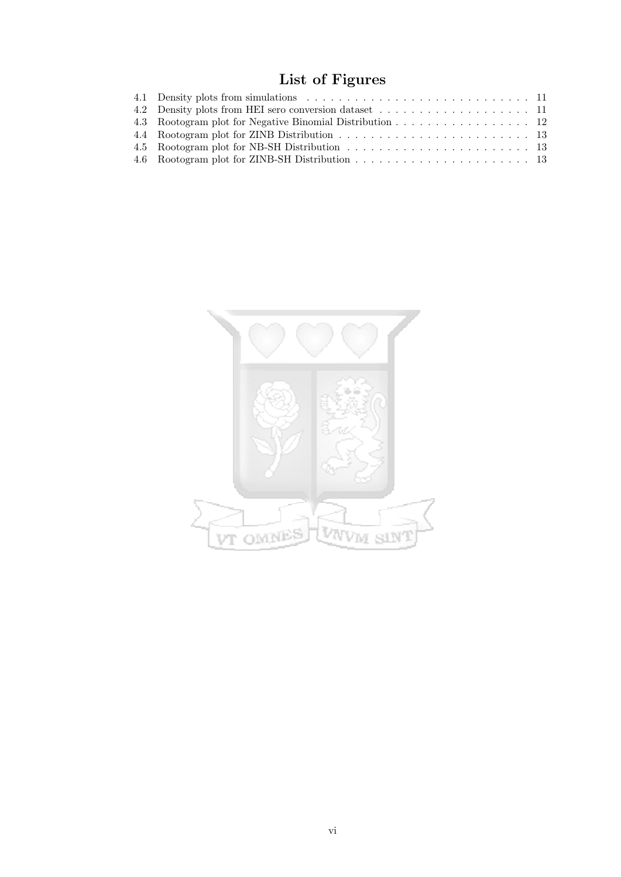# List of Figures

| 4.2 Density plots from HEI sero conversion dataset 11    |  |
|----------------------------------------------------------|--|
| 4.3 Rootogram plot for Negative Binomial Distribution 12 |  |
|                                                          |  |
|                                                          |  |
|                                                          |  |

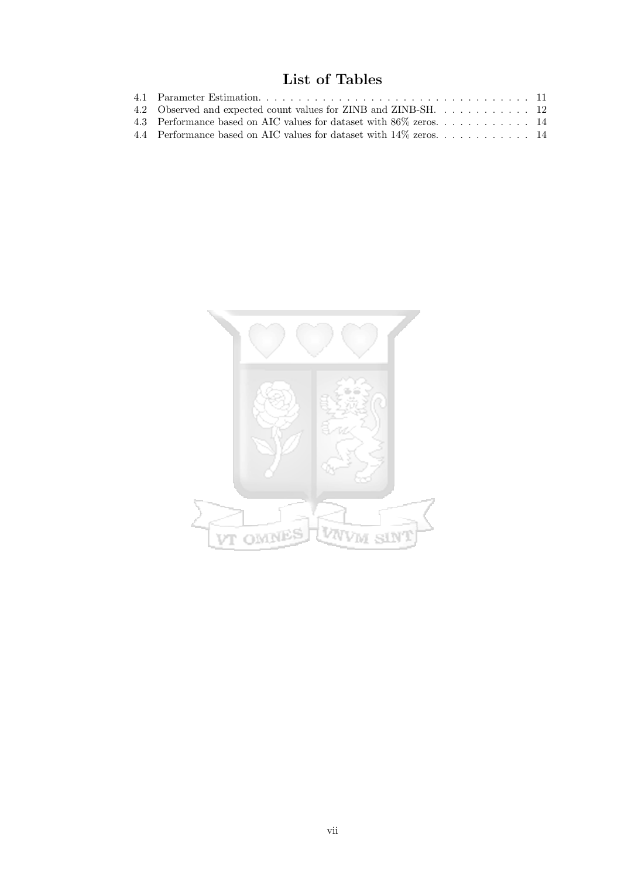# List of Tables

| 4.3 Performance based on AIC values for dataset with 86% zeros 14    |  |
|----------------------------------------------------------------------|--|
| 4.4 Performance based on AIC values for dataset with $14\%$ zeros 14 |  |

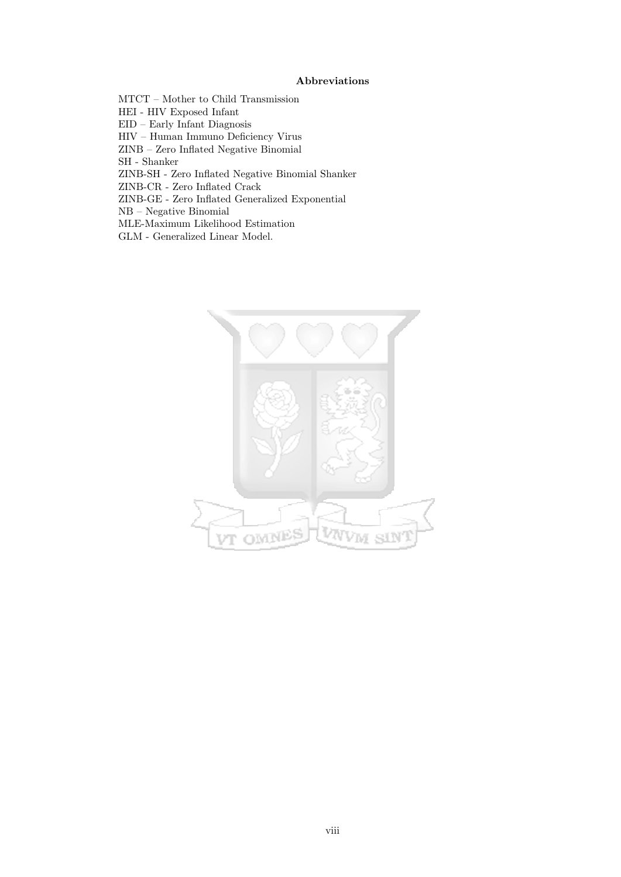#### Abbreviations

MTCT – Mother to Child Transmission

HEI - HIV Exposed Infant

EID – Early Infant Diagnosis

HIV – Human Immuno Deficiency Virus

ZINB – Zero Inflated Negative Binomial

SH - Shanker

ZINB-SH - Zero Inflated Negative Binomial Shanker

ZINB-CR - Zero Inflated Crack

ZINB-GE - Zero Inflated Generalized Exponential

NB – Negative Binomial

MLE-Maximum Likelihood Estimation

GLM - Generalized Linear Model.

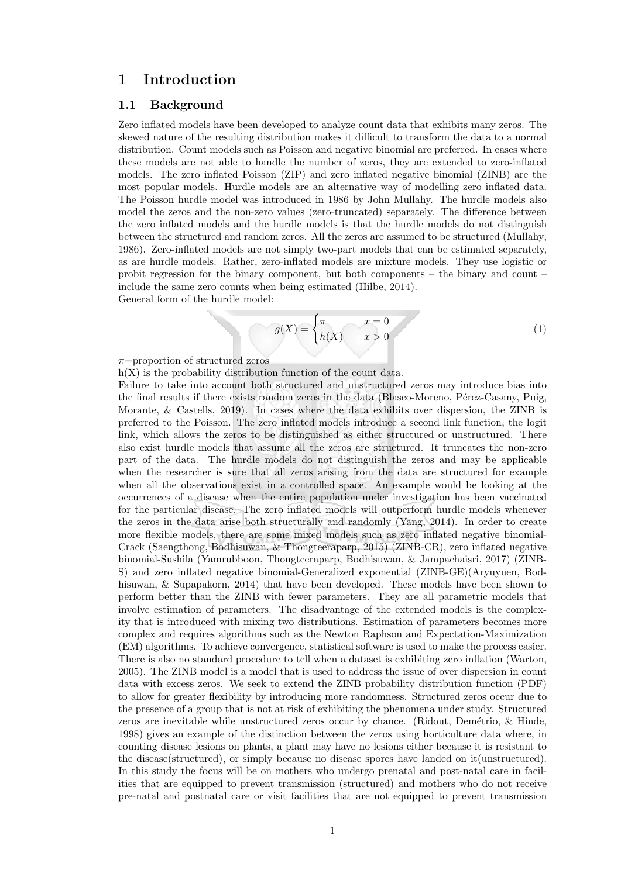# 1 Introduction

#### 1.1 Background

Zero inflated models have been developed to analyze count data that exhibits many zeros. The skewed nature of the resulting distribution makes it difficult to transform the data to a normal distribution. Count models such as Poisson and negative binomial are preferred. In cases where these models are not able to handle the number of zeros, they are extended to zero-inflated models. The zero inflated Poisson (ZIP) and zero inflated negative binomial (ZINB) are the most popular models. Hurdle models are an alternative way of modelling zero inflated data. The Poisson hurdle model was introduced in 1986 by John Mullahy. The hurdle models also model the zeros and the non-zero values (zero-truncated) separately. The difference between the zero inflated models and the hurdle models is that the hurdle models do not distinguish between the structured and random zeros. All the zeros are assumed to be structured (Mullahy, 1986). Zero-inflated models are not simply two-part models that can be estimated separately, as are hurdle models. Rather, zero-inflated models are mixture models. They use logistic or probit regression for the binary component, but both components – the binary and count – include the same zero counts when being estimated (Hilbe, 2014). General form of the hurdle model:

$$
g(X) = \begin{cases} \pi & x = 0 \\ h(X) & x > 0 \end{cases}
$$
 (1)

 $\pi$ =proportion of structured zeros

 $h(X)$  is the probability distribution function of the count data.

Failure to take into account both structured and unstructured zeros may introduce bias into the final results if there exists random zeros in the data (Blasco-Moreno, Pérez-Casany, Puig, Morante, & Castells, 2019). In cases where the data exhibits over dispersion, the ZINB is preferred to the Poisson. The zero inflated models introduce a second link function, the logit link, which allows the zeros to be distinguished as either structured or unstructured. There also exist hurdle models that assume all the zeros are structured. It truncates the non-zero part of the data. The hurdle models do not distinguish the zeros and may be applicable when the researcher is sure that all zeros arising from the data are structured for example when all the observations exist in a controlled space. An example would be looking at the occurrences of a disease when the entire population under investigation has been vaccinated for the particular disease. The zero inflated models will outperform hurdle models whenever the zeros in the data arise both structurally and randomly (Yang, 2014). In order to create more flexible models, there are some mixed models such as zero inflated negative binomial-Crack (Saengthong, Bodhisuwan, & Thongteeraparp, 2015) (ZINB-CR), zero inflated negative binomial-Sushila (Yamrubboon, Thongteeraparp, Bodhisuwan, & Jampachaisri, 2017) (ZINB-S) and zero inflated negative binomial-Generalized exponential (ZINB-GE)(Aryuyuen, Bodhisuwan, & Supapakorn, 2014) that have been developed. These models have been shown to perform better than the ZINB with fewer parameters. They are all parametric models that involve estimation of parameters. The disadvantage of the extended models is the complexity that is introduced with mixing two distributions. Estimation of parameters becomes more complex and requires algorithms such as the Newton Raphson and Expectation-Maximization (EM) algorithms. To achieve convergence, statistical software is used to make the process easier. There is also no standard procedure to tell when a dataset is exhibiting zero inflation (Warton, 2005). The ZINB model is a model that is used to address the issue of over dispersion in count data with excess zeros. We seek to extend the ZINB probability distribution function (PDF) to allow for greater flexibility by introducing more randomness. Structured zeros occur due to the presence of a group that is not at risk of exhibiting the phenomena under study. Structured zeros are inevitable while unstructured zeros occur by chance. (Ridout, Dem´etrio, & Hinde, 1998) gives an example of the distinction between the zeros using horticulture data where, in counting disease lesions on plants, a plant may have no lesions either because it is resistant to the disease(structured), or simply because no disease spores have landed on it(unstructured). In this study the focus will be on mothers who undergo prenatal and post-natal care in facilities that are equipped to prevent transmission (structured) and mothers who do not receive pre-natal and postnatal care or visit facilities that are not equipped to prevent transmission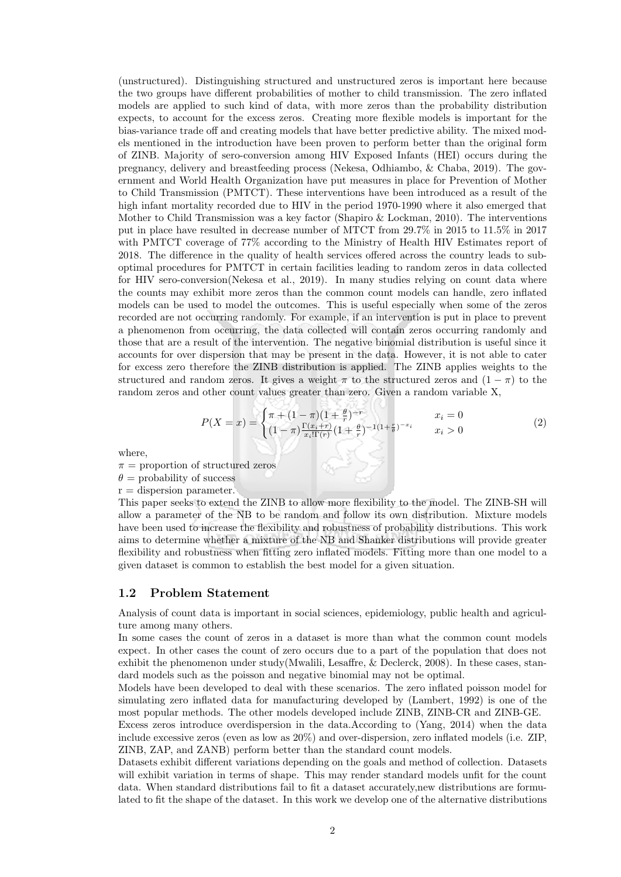(unstructured). Distinguishing structured and unstructured zeros is important here because the two groups have different probabilities of mother to child transmission. The zero inflated models are applied to such kind of data, with more zeros than the probability distribution expects, to account for the excess zeros. Creating more flexible models is important for the bias-variance trade off and creating models that have better predictive ability. The mixed models mentioned in the introduction have been proven to perform better than the original form of ZINB. Majority of sero-conversion among HIV Exposed Infants (HEI) occurs during the pregnancy, delivery and breastfeeding process (Nekesa, Odhiambo, & Chaba, 2019). The government and World Health Organization have put measures in place for Prevention of Mother to Child Transmission (PMTCT). These interventions have been introduced as a result of the high infant mortality recorded due to HIV in the period 1970-1990 where it also emerged that Mother to Child Transmission was a key factor (Shapiro & Lockman, 2010). The interventions put in place have resulted in decrease number of MTCT from 29.7% in 2015 to 11.5% in 2017 with PMTCT coverage of 77% according to the Ministry of Health HIV Estimates report of 2018. The difference in the quality of health services offered across the country leads to suboptimal procedures for PMTCT in certain facilities leading to random zeros in data collected for HIV sero-conversion(Nekesa et al., 2019). In many studies relying on count data where the counts may exhibit more zeros than the common count models can handle, zero inflated models can be used to model the outcomes. This is useful especially when some of the zeros recorded are not occurring randomly. For example, if an intervention is put in place to prevent a phenomenon from occurring, the data collected will contain zeros occurring randomly and those that are a result of the intervention. The negative binomial distribution is useful since it accounts for over dispersion that may be present in the data. However, it is not able to cater for excess zero therefore the ZINB distribution is applied. The ZINB applies weights to the structured and random zeros. It gives a weight  $\pi$  to the structured zeros and  $(1 - \pi)$  to the random zeros and other count values greater than zero. Given a random variable X,

$$
P(X = x) = \begin{cases} \pi + (1 - \pi)(1 + \frac{\theta}{r})^{-r} & x_i = 0\\ (1 - \pi)\frac{\Gamma(x_i + r)}{x_i! \Gamma(r)}(1 + \frac{\theta}{r})^{-1(1 + \frac{r}{\theta})^{-x_i}} & x_i > 0 \end{cases}
$$
(2)

where,

 $\pi$  = proportion of structured zeros

 $\theta$  = probability of success

 $r =$  dispersion parameter. This paper seeks to extend the ZINB to allow more flexibility to the model. The ZINB-SH will allow a parameter of the NB to be random and follow its own distribution. Mixture models have been used to increase the flexibility and robustness of probability distributions. This work aims to determine whether a mixture of the NB and Shanker distributions will provide greater flexibility and robustness when fitting zero inflated models. Fitting more than one model to a given dataset is common to establish the best model for a given situation.

ou.

#### 1.2 Problem Statement

Analysis of count data is important in social sciences, epidemiology, public health and agriculture among many others.

In some cases the count of zeros in a dataset is more than what the common count models expect. In other cases the count of zero occurs due to a part of the population that does not exhibit the phenomenon under study(Mwalili, Lesaffre, & Declerck, 2008). In these cases, standard models such as the poisson and negative binomial may not be optimal.

Models have been developed to deal with these scenarios. The zero inflated poisson model for simulating zero inflated data for manufacturing developed by (Lambert, 1992) is one of the most popular methods. The other models developed include ZINB, ZINB-CR and ZINB-GE.

Excess zeros introduce overdispersion in the data.According to (Yang, 2014) when the data include excessive zeros (even as low as 20%) and over-dispersion, zero inflated models (i.e. ZIP, ZINB, ZAP, and ZANB) perform better than the standard count models.

Datasets exhibit different variations depending on the goals and method of collection. Datasets will exhibit variation in terms of shape. This may render standard models unfit for the count data. When standard distributions fail to fit a dataset accurately,new distributions are formulated to fit the shape of the dataset. In this work we develop one of the alternative distributions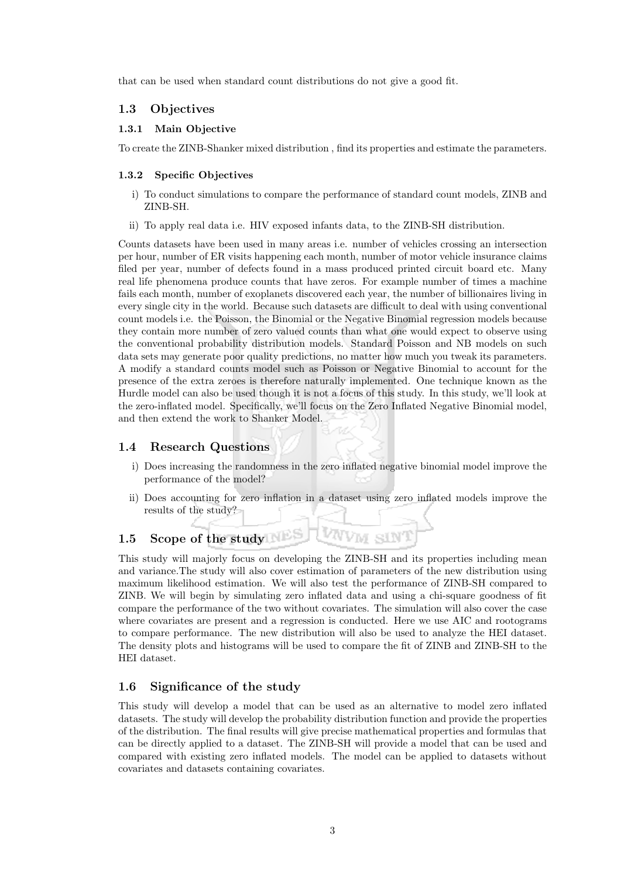that can be used when standard count distributions do not give a good fit.

#### 1.3 Objectives

#### 1.3.1 Main Objective

To create the ZINB-Shanker mixed distribution , find its properties and estimate the parameters.

#### 1.3.2 Specific Objectives

- i) To conduct simulations to compare the performance of standard count models, ZINB and ZINB-SH.
- ii) To apply real data i.e. HIV exposed infants data, to the ZINB-SH distribution.

Counts datasets have been used in many areas i.e. number of vehicles crossing an intersection per hour, number of ER visits happening each month, number of motor vehicle insurance claims filed per year, number of defects found in a mass produced printed circuit board etc. Many real life phenomena produce counts that have zeros. For example number of times a machine fails each month, number of exoplanets discovered each year, the number of billionaires living in every single city in the world. Because such datasets are difficult to deal with using conventional count models i.e. the Poisson, the Binomial or the Negative Binomial regression models because they contain more number of zero valued counts than what one would expect to observe using the conventional probability distribution models. Standard Poisson and NB models on such data sets may generate poor quality predictions, no matter how much you tweak its parameters. A modify a standard counts model such as Poisson or Negative Binomial to account for the presence of the extra zeroes is therefore naturally implemented. One technique known as the Hurdle model can also be used though it is not a focus of this study. In this study, we'll look at the zero-inflated model. Specifically, we'll focus on the Zero Inflated Negative Binomial model, and then extend the work to Shanker Model.

### 1.4 Research Questions

- i) Does increasing the randomness in the zero inflated negative binomial model improve the performance of the model?
- ii) Does accounting for zero inflation in a dataset using zero inflated models improve the results of the study?

**VAVVM** 

# 1.5 Scope of the study

This study will majorly focus on developing the ZINB-SH and its properties including mean and variance.The study will also cover estimation of parameters of the new distribution using maximum likelihood estimation. We will also test the performance of ZINB-SH compared to ZINB. We will begin by simulating zero inflated data and using a chi-square goodness of fit compare the performance of the two without covariates. The simulation will also cover the case where covariates are present and a regression is conducted. Here we use AIC and rootograms to compare performance. The new distribution will also be used to analyze the HEI dataset. The density plots and histograms will be used to compare the fit of ZINB and ZINB-SH to the HEI dataset.

### 1.6 Significance of the study

This study will develop a model that can be used as an alternative to model zero inflated datasets. The study will develop the probability distribution function and provide the properties of the distribution. The final results will give precise mathematical properties and formulas that can be directly applied to a dataset. The ZINB-SH will provide a model that can be used and compared with existing zero inflated models. The model can be applied to datasets without covariates and datasets containing covariates.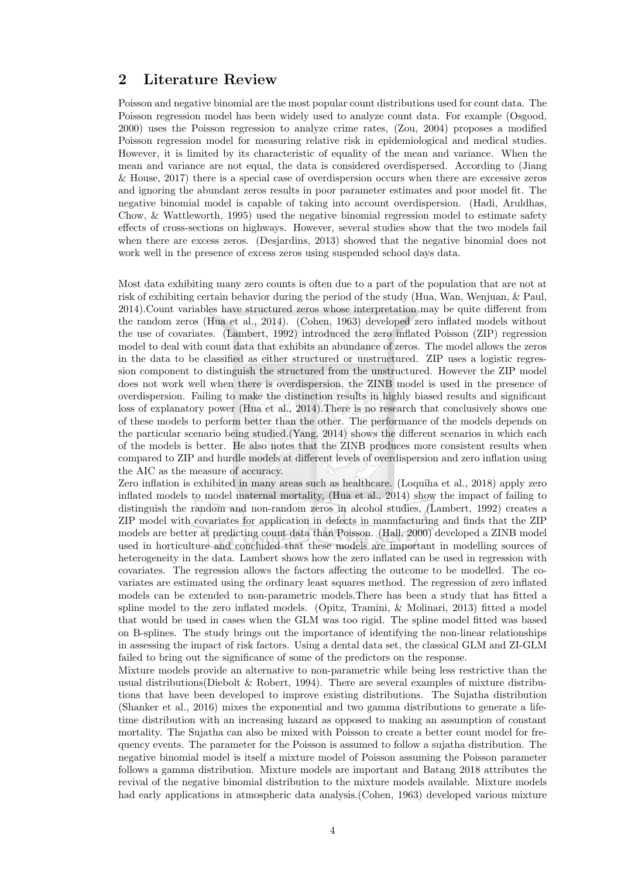# 2 Literature Review

Poisson and negative binomial are the most popular count distributions used for count data. The Poisson regression model has been widely used to analyze count data. For example (Osgood, 2000) uses the Poisson regression to analyze crime rates, (Zou, 2004) proposes a modified Poisson regression model for measuring relative risk in epidemiological and medical studies. However, it is limited by its characteristic of equality of the mean and variance. When the mean and variance are not equal, the data is considered overdispersed. According to (Jiang & House, 2017) there is a special case of overdispersion occurs when there are excessive zeros and ignoring the abundant zeros results in poor parameter estimates and poor model fit. The negative binomial model is capable of taking into account overdispersion. (Hadi, Aruldhas, Chow, & Wattleworth, 1995) used the negative binomial regression model to estimate safety effects of cross-sections on highways. However, several studies show that the two models fail when there are excess zeros. (Desjardins, 2013) showed that the negative binomial does not work well in the presence of excess zeros using suspended school days data.

Most data exhibiting many zero counts is often due to a part of the population that are not at risk of exhibiting certain behavior during the period of the study (Hua, Wan, Wenjuan, & Paul, 2014).Count variables have structured zeros whose interpretation may be quite different from the random zeros (Hua et al., 2014). (Cohen, 1963) developed zero inflated models without the use of covariates. (Lambert, 1992) introduced the zero inflated Poisson (ZIP) regression model to deal with count data that exhibits an abundance of zeros. The model allows the zeros in the data to be classified as either structured or unstructured. ZIP uses a logistic regression component to distinguish the structured from the unstructured. However the ZIP model does not work well when there is overdispersion, the ZINB model is used in the presence of overdispersion. Failing to make the distinction results in highly biased results and significant loss of explanatory power (Hua et al., 2014). There is no research that conclusively shows one of these models to perform better than the other. The performance of the models depends on the particular scenario being studied.(Yang, 2014) shows the different scenarios in which each of the models is better. He also notes that the ZINB produces more consistent results when compared to ZIP and hurdle models at different levels of overdispersion and zero inflation using the AIC as the measure of accuracy.

Zero inflation is exhibited in many areas such as healthcare. (Loquiha et al., 2018) apply zero inflated models to model maternal mortality, (Hua et al., 2014) show the impact of failing to distinguish the random and non-random zeros in alcohol studies, (Lambert, 1992) creates a ZIP model with covariates for application in defects in manufacturing and finds that the ZIP models are better at predicting count data than Poisson. (Hall, 2000) developed a ZINB model used in horticulture and concluded that these models are important in modelling sources of heterogeneity in the data. Lambert shows how the zero inflated can be used in regression with covariates. The regression allows the factors affecting the outcome to be modelled. The covariates are estimated using the ordinary least squares method. The regression of zero inflated models can be extended to non-parametric models.There has been a study that has fitted a spline model to the zero inflated models. (Opitz, Tramini, & Molinari, 2013) fitted a model that would be used in cases when the GLM was too rigid. The spline model fitted was based on B-splines. The study brings out the importance of identifying the non-linear relationships in assessing the impact of risk factors. Using a dental data set, the classical GLM and ZI-GLM failed to bring out the significance of some of the predictors on the response.

Mixture models provide an alternative to non-parametric while being less restrictive than the usual distributions(Diebolt & Robert, 1994). There are several examples of mixture distributions that have been developed to improve existing distributions. The Sujatha distribution (Shanker et al., 2016) mixes the exponential and two gamma distributions to generate a lifetime distribution with an increasing hazard as opposed to making an assumption of constant mortality. The Sujatha can also be mixed with Poisson to create a better count model for frequency events. The parameter for the Poisson is assumed to follow a sujatha distribution. The negative binomial model is itself a mixture model of Poisson assuming the Poisson parameter follows a gamma distribution. Mixture models are important and Batang 2018 attributes the revival of the negative binomial distribution to the mixture models available. Mixture models had early applications in atmospheric data analysis.(Cohen, 1963) developed various mixture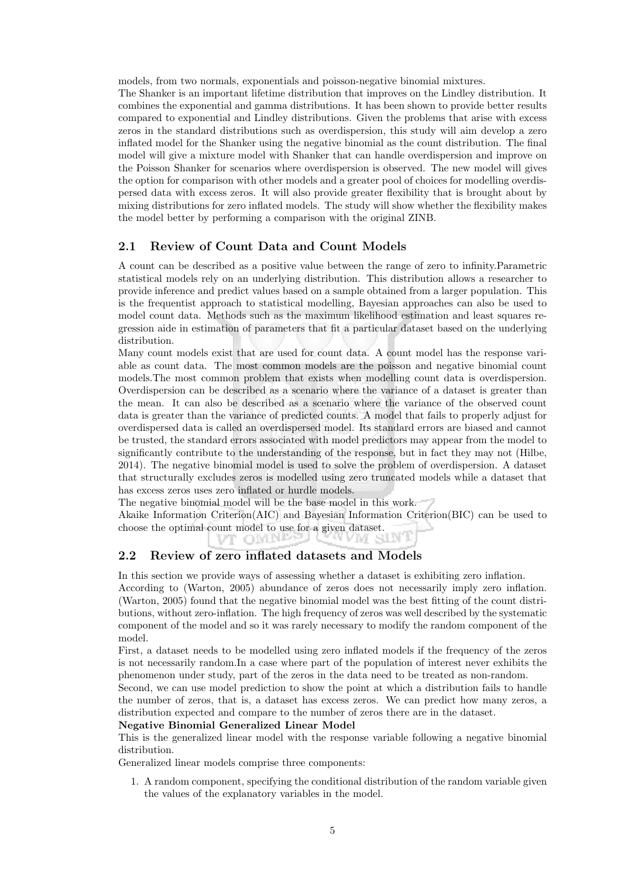models, from two normals, exponentials and poisson-negative binomial mixtures.

The Shanker is an important lifetime distribution that improves on the Lindley distribution. It combines the exponential and gamma distributions. It has been shown to provide better results compared to exponential and Lindley distributions. Given the problems that arise with excess zeros in the standard distributions such as overdispersion, this study will aim develop a zero inflated model for the Shanker using the negative binomial as the count distribution. The final model will give a mixture model with Shanker that can handle overdispersion and improve on the Poisson Shanker for scenarios where overdispersion is observed. The new model will gives the option for comparison with other models and a greater pool of choices for modelling overdispersed data with excess zeros. It will also provide greater flexibility that is brought about by mixing distributions for zero inflated models. The study will show whether the flexibility makes the model better by performing a comparison with the original ZINB.

#### 2.1 Review of Count Data and Count Models

A count can be described as a positive value between the range of zero to infinity.Parametric statistical models rely on an underlying distribution. This distribution allows a researcher to provide inference and predict values based on a sample obtained from a larger population. This is the frequentist approach to statistical modelling, Bayesian approaches can also be used to model count data. Methods such as the maximum likelihood estimation and least squares regression aide in estimation of parameters that fit a particular dataset based on the underlying distribution.

Many count models exist that are used for count data. A count model has the response variable as count data. The most common models are the poisson and negative binomial count models.The most common problem that exists when modelling count data is overdispersion. Overdispersion can be described as a scenario where the variance of a dataset is greater than the mean. It can also be described as a scenario where the variance of the observed count data is greater than the variance of predicted counts. A model that fails to properly adjust for overdispersed data is called an overdispersed model. Its standard errors are biased and cannot be trusted, the standard errors associated with model predictors may appear from the model to significantly contribute to the understanding of the response, but in fact they may not (Hilbe, 2014). The negative binomial model is used to solve the problem of overdispersion. A dataset that structurally excludes zeros is modelled using zero truncated models while a dataset that has excess zeros uses zero inflated or hurdle models.

The negative binomial model will be the base model in this work.

Akaike Information Criterion(AIC) and Bayesian Information Criterion(BIC) can be used to choose the optimal count model to use for a given dataset.

AANI ST

#### nigen und 2.2 Review of zero inflated datasets and Models

In this section we provide ways of assessing whether a dataset is exhibiting zero inflation. According to (Warton, 2005) abundance of zeros does not necessarily imply zero inflation. (Warton, 2005) found that the negative binomial model was the best fitting of the count distributions, without zero-inflation. The high frequency of zeros was well described by the systematic component of the model and so it was rarely necessary to modify the random component of the model.

First, a dataset needs to be modelled using zero inflated models if the frequency of the zeros is not necessarily random.In a case where part of the population of interest never exhibits the phenomenon under study, part of the zeros in the data need to be treated as non-random.

Second, we can use model prediction to show the point at which a distribution fails to handle the number of zeros, that is, a dataset has excess zeros. We can predict how many zeros, a distribution expected and compare to the number of zeros there are in the dataset.

#### Negative Binomial Generalized Linear Model

This is the generalized linear model with the response variable following a negative binomial distribution.

Generalized linear models comprise three components:

1. A random component, specifying the conditional distribution of the random variable given the values of the explanatory variables in the model.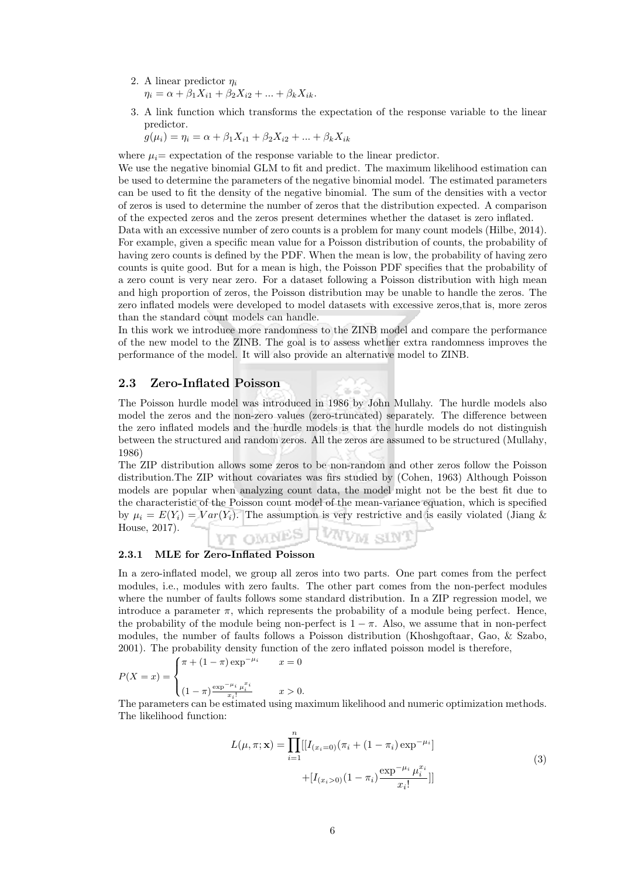- 2. A linear predictor  $\eta_i$  $\eta_i = \alpha + \beta_1 X_{i1} + \beta_2 X_{i2} + \ldots + \beta_k X_{ik}.$
- 3. A link function which transforms the expectation of the response variable to the linear predictor.

 $g(\mu_i) = \eta_i = \alpha + \beta_1 X_{i1} + \beta_2 X_{i2} + \ldots + \beta_k X_{ik}$ 

where  $\mu_i$  = expectation of the response variable to the linear predictor.

We use the negative binomial GLM to fit and predict. The maximum likelihood estimation can be used to determine the parameters of the negative binomial model. The estimated parameters can be used to fit the density of the negative binomial. The sum of the densities with a vector of zeros is used to determine the number of zeros that the distribution expected. A comparison of the expected zeros and the zeros present determines whether the dataset is zero inflated.

Data with an excessive number of zero counts is a problem for many count models (Hilbe, 2014). For example, given a specific mean value for a Poisson distribution of counts, the probability of having zero counts is defined by the PDF. When the mean is low, the probability of having zero counts is quite good. But for a mean is high, the Poisson PDF specifies that the probability of a zero count is very near zero. For a dataset following a Poisson distribution with high mean and high proportion of zeros, the Poisson distribution may be unable to handle the zeros. The zero inflated models were developed to model datasets with excessive zeros,that is, more zeros than the standard count models can handle.

In this work we introduce more randomness to the ZINB model and compare the performance of the new model to the ZINB. The goal is to assess whether extra randomness improves the performance of the model. It will also provide an alternative model to ZINB.

#### 2.3 Zero-Inflated Poisson

The Poisson hurdle model was introduced in 1986 by John Mullahy. The hurdle models also model the zeros and the non-zero values (zero-truncated) separately. The difference between the zero inflated models and the hurdle models is that the hurdle models do not distinguish between the structured and random zeros. All the zeros are assumed to be structured (Mullahy, 1986)

The ZIP distribution allows some zeros to be non-random and other zeros follow the Poisson distribution.The ZIP without covariates was firs studied by (Cohen, 1963) Although Poisson models are popular when analyzing count data, the model might not be the best fit due to the characteristic of the Poisson count model of the mean-variance equation, which is specified by  $\mu_i = E(Y_i) = Var(Y_i)$ . The assumption is very restrictive and is easily violated (Jiang & House, 2017). VT OMNES TWWW SINT

#### 2.3.1 MLE for Zero-Inflated Poisson

In a zero-inflated model, we group all zeros into two parts. One part comes from the perfect modules, i.e., modules with zero faults. The other part comes from the non-perfect modules where the number of faults follows some standard distribution. In a ZIP regression model, we introduce a parameter  $\pi$ , which represents the probability of a module being perfect. Hence, the probability of the module being non-perfect is  $1 - \pi$ . Also, we assume that in non-perfect modules, the number of faults follows a Poisson distribution (Khoshgoftaar, Gao, & Szabo, 2001). The probability density function of the zero inflated poisson model is therefore,

$$
P(X = x) = \begin{cases} \pi + (1 - \pi) \exp^{-\mu_i} & x = 0 \\ \frac{\exp^{-\mu_i} \mu_i^{x_i}}{(1 - \pi) \frac{\exp^{-\mu_i} \mu_i^{x_i}}{x_i!}} & x > 0. \end{cases}
$$

The parameters can be estimated using maximum likelihood and numeric optimization methods. The likelihood function:

$$
L(\mu, \pi; \mathbf{x}) = \prod_{i=1}^{n} [[I_{(x_i=0)}(\pi_i + (1 - \pi_i) \exp^{-\mu_i}]]
$$
  
 
$$
+ [I_{(x_i>0)}(1 - \pi_i) \frac{\exp^{-\mu_i} \mu_i^{x_i}}{x_i!}]]
$$
 (3)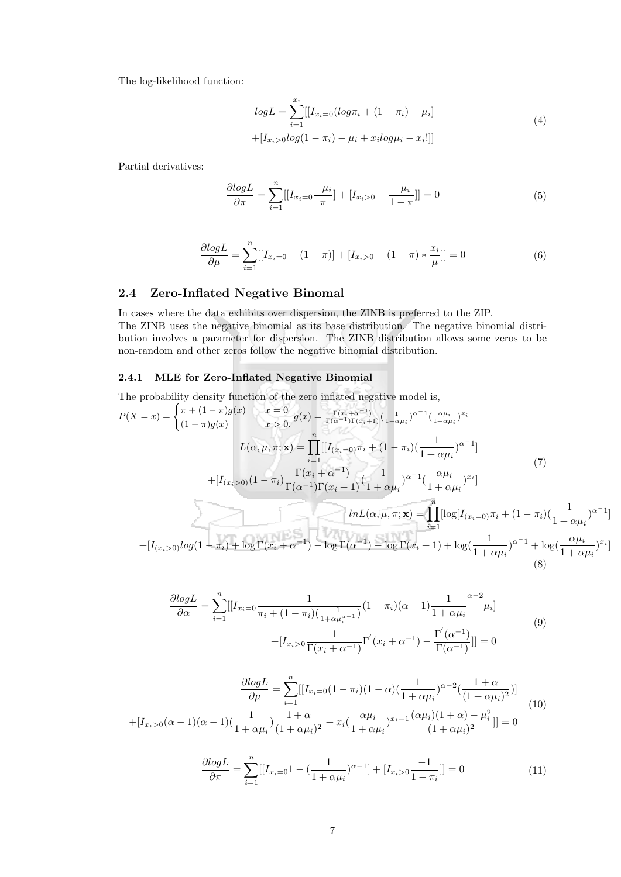The log-likelihood function:

$$
logL = \sum_{i=1}^{x_i} [[I_{x_i=0}(log\pi_i + (1 - \pi_i) - \mu_i]]
$$
  
+ 
$$
[I_{x_i>0}log(1 - \pi_i) - \mu_i + x_i log\mu_i - x_i]]
$$
 (4)

Partial derivatives:

$$
\frac{\partial \log L}{\partial \pi} = \sum_{i=1}^{n} [[I_{x_i=0} \frac{-\mu_i}{\pi}] + [I_{x_i>0} - \frac{-\mu_i}{1-\pi}]] = 0
$$
\n(5)

$$
\frac{\partial \log L}{\partial \mu} = \sum_{i=1}^{n} [[I_{x_i=0} - (1 - \pi)] + [I_{x_i>0} - (1 - \pi) * \frac{x_i}{\mu}]] = 0
$$
\n(6)

#### 2.4 Zero-Inflated Negative Binomal

In cases where the data exhibits over dispersion, the ZINB is preferred to the ZIP. The ZINB uses the negative binomial as its base distribution. The negative binomial distribution involves a parameter for dispersion. The ZINB distribution allows some zeros to be non-random and other zeros follow the negative binomial distribution.

#### 2.4.1 MLE for Zero-Inflated Negative Binomial

The probability density function of the zero inflated negative model is,

$$
P(X = x) = \begin{cases} \pi + (1 - \pi)g(x) & x = 0 \\ (1 - \pi)g(x) & x > 0 \end{cases} g(x) = \frac{\Gamma(x_i + \alpha^{-1})}{\Gamma(\alpha^{-1})\Gamma(x_i + 1)} \left(\frac{1}{1 + \alpha \mu_i}\right)^{\alpha^{-1}} \left(\frac{\alpha \mu_i}{1 + \alpha \mu_i}\right)^{x_i} \\ L(\alpha, \mu, \pi; \mathbf{x}) = \prod_{i=1}^n \left[ [I_{(x_i = 0)} \pi_i + (1 - \pi_i) \left(\frac{1}{1 + \alpha \mu_i}\right)^{\alpha^{-1}} \right] \\ + [I_{(x_i > 0)} (1 - \pi_i) \frac{\Gamma(x_i + \alpha^{-1})}{\Gamma(\alpha^{-1})\Gamma(x_i + 1)} \left(\frac{1}{1 + \alpha \mu_i}\right)^{\alpha^{-1}} \left(\frac{\alpha \mu_i}{1 + \alpha \mu_i}\right)^{x_i}\right] \tag{7}
$$
\n
$$
lnL(\alpha, \mu, \pi; \mathbf{x}) = \prod_{i=1}^n \left[ \log[I_{(x_i = 0)} \pi_i + (1 - \pi_i) \left(\frac{1}{1 + \alpha \mu_i}\right)^{\alpha^{-1}} \right] \\ + [I_{(x_i > 0)} log(1 - \pi_i) + \log \Gamma(x_i + \alpha^{-1}) - \log \Gamma(\alpha^{-1}) - \log \Gamma(x_i + 1) + \log(\frac{1}{1 + \alpha \mu_i})^{\alpha^{-1}} + \log(\frac{\alpha \mu_i}{1 + \alpha \mu_i})^{x_i}\right] \tag{8}
$$

$$
\frac{\partial \log L}{\partial \alpha} = \sum_{i=1}^{n} \left[ \left[ I_{x_i=0} \frac{1}{\pi_i + (1 - \pi_i) \left( \frac{1}{1 + \alpha \mu_i^{\alpha - 1}} \right)} (1 - \pi_i) (\alpha - 1) \frac{1}{1 + \alpha \mu_i}^{\alpha - 2} \mu_i \right] + \left[ I_{x_i>0} \frac{1}{\Gamma(x_i + \alpha^{-1})} \Gamma'(x_i + \alpha^{-1}) - \frac{\Gamma'(\alpha^{-1})}{\Gamma(\alpha^{-1})} \right] \right] = 0
$$
\n(9)

$$
\frac{\partial \log L}{\partial \mu} = \sum_{i=1}^{n} \left[ \left[ I_{x_i=0} (1 - \pi_i)(1 - \alpha) \left( \frac{1}{1 + \alpha \mu_i} \right)^{\alpha - 2} \left( \frac{1 + \alpha}{(1 + \alpha \mu_i)^2} \right) \right] \right] \tag{10}
$$
\n
$$
+ \left[ I_{x_i>0} (\alpha - 1)(\alpha - 1) \left( \frac{1}{1 + \alpha \mu_i} \right) \frac{1 + \alpha}{(1 + \alpha \mu_i)^2} + x_i \left( \frac{\alpha \mu_i}{1 + \alpha \mu_i} \right)^{x_i - 1} \frac{(\alpha \mu_i)(1 + \alpha) - \mu_i^2}{(1 + \alpha \mu_i)^2} \right] = 0
$$

$$
\frac{\partial \log L}{\partial \pi} = \sum_{i=1}^{n} [[I_{x_i=0}1 - (\frac{1}{1 + \alpha \mu_i})^{\alpha - 1}] + [I_{x_i>0} \frac{-1}{1 - \pi_i}]] = 0 \tag{11}
$$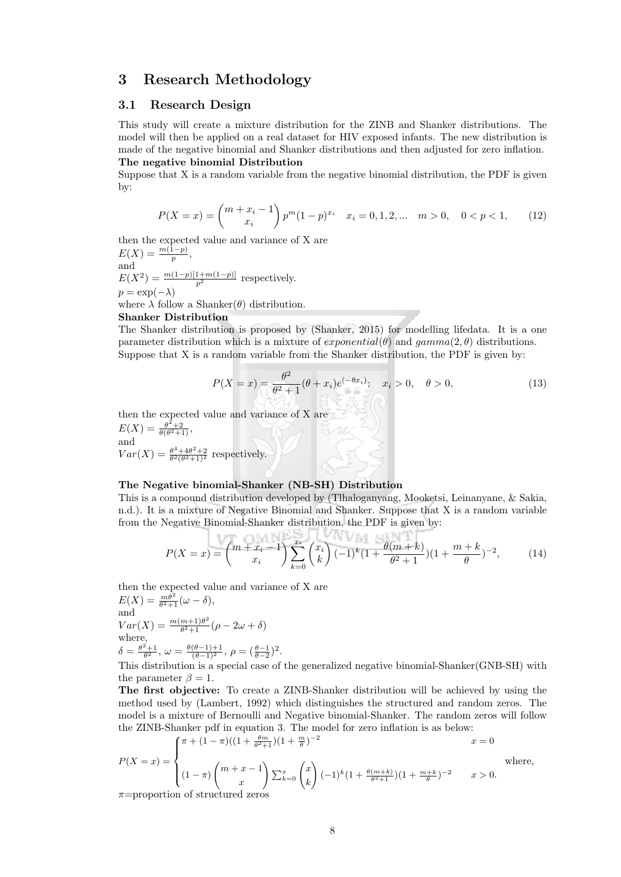## 3 Research Methodology

#### 3.1 Research Design

This study will create a mixture distribution for the ZINB and Shanker distributions. The model will then be applied on a real dataset for HIV exposed infants. The new distribution is made of the negative binomial and Shanker distributions and then adjusted for zero inflation. The negative binomial Distribution

Suppose that X is a random variable from the negative binomial distribution, the PDF is given by:

$$
P(X = x) = {m + x_i - 1 \choose x_i} p^m (1-p)^{x_i} \quad x_i = 0, 1, 2, \dots \quad m > 0, \quad 0 < p < 1,
$$
 (12)

then the expected value and variance of X are  $E(X) = \frac{m(1-p)}{p},$ and  $E(X^2) = \frac{m(1-p)[1+m(1-p)]}{p^2}$  respectively.  $p = \exp(-\lambda)$ 

where  $\lambda$  follow a Shanker( $\theta$ ) distribution.

#### Shanker Distribution

The Shanker distribution is proposed by (Shanker, 2015) for modelling lifedata. It is a one parameter distribution which is a mixture of *exponential*( $\theta$ ) and  $\theta$  amma $(2, \theta)$  distributions. Suppose that X is a random variable from the Shanker distribution, the PDF is given by:

$$
P(X = x) = \frac{\theta^2}{\theta^2 + 1} (\theta + x_i) e^{(-\theta x_i)}; \quad x_i > 0, \quad \theta > 0,
$$
 (13)

then the expected value and variance of X are  $E(X) = \frac{\theta^2 + 2}{\theta(\theta^2 + 1)},$ and  $Var(X) = \frac{\theta^4 + 4\theta^2 + 2}{\theta^2(\theta^2 + 1)^2}$  respectively.

#### The Negative binomial-Shanker (NB-SH) Distribution

This is a compound distribution developed by (Tlhaloganyang, Mooketsi, Leinanyane, & Sakia, n.d.). It is a mixture of Negative Binomial and Shanker. Suppose that X is a random variable from the Negative Binomial-Shanker distribution, the PDF is given by:

$$
P(X = x) = {m + x_i - 1 \choose x_i} \sum_{k=0}^{x_i} {x_i \choose k} (-1)^k (1 + \frac{\theta(m+k)}{\theta^2 + 1})(1 + \frac{m+k}{\theta})^{-2},
$$
(14)

then the expected value and variance of X are  $E(X) = \frac{m\theta^2}{\theta^2 + 1} (\omega - \delta),$ and  $Var(X) = \frac{m(m+1)\theta^2}{\theta^2+1}$  $\frac{m+1)\theta^2}{\theta^2+1}(\rho-2\omega+\delta)$ where,  $\delta = \frac{\theta^2 + 1}{\theta^2}, \ \omega = \frac{\theta(\theta - 1) + 1}{(\theta - 1)^2}, \ \rho = \left(\frac{\theta - 1}{\theta - 2}\right)^2.$ 

This distribution is a special case of the generalized negative binomial-Shanker(GNB-SH) with the parameter  $\beta = 1$ .

The first objective: To create a ZINB-Shanker distribution will be achieved by using the method used by (Lambert, 1992) which distinguishes the structured and random zeros. The model is a mixture of Bernoulli and Negative binomial-Shanker. The random zeros will follow the ZINB-Shanker pdf in equation 3. The model for zero inflation is as below:

$$
\int \pi + (1 - \pi)((1 + \frac{\theta m}{\theta^2 + 1})(1 + \frac{m}{\theta})^{-2}
$$

$$
P(X = x) = \begin{cases} (1 - \pi) \binom{m + x - 1}{x} \sum_{k=0}^{x} \binom{x}{k} (-1)^k (1 + \frac{\theta(m+k)}{\theta^2 + 1}) (1 + \frac{m+k}{\theta})^{-2} & x > 0. \end{cases}
$$
 where,

 $\pi$ =proportion of structured zeros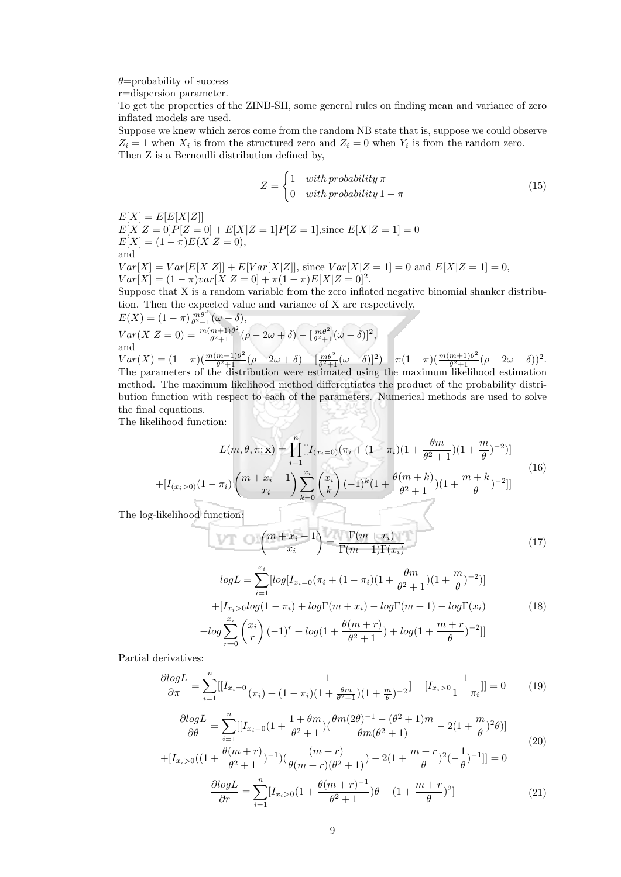$\theta$ =probability of success

r=dispersion parameter.

To get the properties of the ZINB-SH, some general rules on finding mean and variance of zero inflated models are used.

Suppose we knew which zeros come from the random NB state that is, suppose we could observe  $Z_i = 1$  when  $X_i$  is from the structured zero and  $Z_i = 0$  when  $Y_i$  is from the random zero. Then Z is a Bernoulli distribution defined by,

$$
Z = \begin{cases} 1 & with \text{ probability } \pi \\ 0 & with \text{ probability } 1 - \pi \end{cases}
$$
 (15)

 $E[X] = E[E[X|Z]]$ 

 $E[X|Z=0]P[Z=0]+E[X|Z=1]P[Z=1]$ , since  $E[X|Z=1]=0$  $E[X] = (1 - \pi)E(X|Z = 0),$ and  $Var[X] = Var[E[X|Z]] + E[Var[X|Z]],$  since  $Var[X|Z = 1] = 0$  and  $E[X|Z = 1] = 0$ ,  $Var[X] = (1 - \pi)var[X|Z = 0] + \pi(1 - \pi)E[X|Z = 0]^2.$ 

Suppose that X is a random variable from the zero inflated negative binomial shanker distribution. Then the expected value and variance of X are respectively,

$$
E(X) = (1 - \pi) \frac{m\theta^2}{\theta^2 + 1} (\omega - \delta),
$$
  
\n
$$
Var(X|Z = 0) = \frac{m(m+1)\theta^2}{\theta^2 + 1} (\rho - 2\omega + \delta) - \left[\frac{m\theta^2}{\theta^2 + 1} (\omega - \delta)\right]^2,
$$
  
\nand

 $Var(X) = (1 - \pi)(\frac{m(m+1)\theta^2}{\theta^2 + 1})$  $\frac{m+1)\theta^2}{\theta^2+1}(\rho-2\omega+\delta)-\left[\frac{m\theta^2}{\theta^2+1}(\omega-\delta)\right]^2)+\pi(1-\pi)(\frac{m(m+1)\theta^2}{\theta^2+1})$  $\frac{m+1)\theta^2}{\theta^2+1}(\rho-2\omega+\delta))^2.$ The parameters of the distribution were estimated using the maximum likelihood estimation method. The maximum likelihood method differentiates the product of the probability distribution function with respect to each of the parameters. Numerical methods are used to solve the final equations.

The likelihood function:

$$
L(m, \theta, \pi; \mathbf{x}) = \prod_{i=1}^{n} [[I_{(x_i=0)}(\pi_i + (1 - \pi_i)(1 + \frac{\theta m}{\theta^2 + 1})(1 + \frac{m}{\theta})^{-2})]
$$
  
+ 
$$
[I_{(x_i>0)}(1 - \pi_i) \binom{m + x_i - 1}{x_i} \sum_{k=0}^{x_i} \binom{x_i}{k} (-1)^k (1 + \frac{\theta(m + k)}{\theta^2 + 1})(1 + \frac{m + k}{\theta})^{-2}]]
$$
(16)  
-likelihood function:

The log-likelihood function:

$$
\binom{m+x_i-1}{x_i} = \frac{\Gamma(m+x_i)}{\Gamma(m+1)\Gamma(x_i)}\tag{17}
$$

$$
logL = \sum_{i=1}^{x_i} [log[I_{x_i=0}(\pi_i + (1 - \pi_i)(1 + \frac{\theta m}{\theta^2 + 1})(1 + \frac{m}{\theta})^{-2})]
$$
  
+  $[I_{x_i>0}log(1 - \pi_i) + log\Gamma(m + x_i) - log\Gamma(m + 1) - log\Gamma(x_i)$  (18)  
+  $log \sum_{r=0}^{x_i} {x_i \choose r} (-1)^r + log(1 + \frac{\theta(m + r)}{\theta^2 + 1}) + log(1 + \frac{m + r}{\theta})^{-2}]$ 

Partial derivatives:

$$
\frac{\partial \log L}{\partial \pi} = \sum_{i=1}^{n} \left[ I_{x_i=0} \frac{1}{(\pi_i) + (1 - \pi_i)(1 + \frac{\theta m}{\theta^2 + 1})(1 + \frac{m}{\theta})^{-2}} \right] + \left[ I_{x_i>0} \frac{1}{1 - \pi_i} \right] \left[ 0 \right] \tag{19}
$$

$$
\frac{\partial \log L}{\partial \theta} = \sum_{i=1}^{n} [[I_{x_i=0}(1 + \frac{1 + \theta m}{\theta^2 + 1})(\frac{\theta m (2\theta)^{-1} - (\theta^2 + 1)m}{\theta m (\theta^2 + 1)} - 2(1 + \frac{m}{\theta})^2 \theta]] \tag{20}
$$

$$
+[I_{x_i>0}((1+\frac{\theta(m+r)}{\theta^2+1})^{-1})(\frac{(m+r)}{\theta(m+r)(\theta^2+1)})-2(1+\frac{m+r}{\theta})^2(-\frac{1}{\theta})^{-1}]] = 0
$$

$$
\frac{\partial \log L}{\partial r} = \sum_{i=1}^{n} [I_{x_i>0} (1 + \frac{\theta(m+r)^{-1}}{\theta^2 + 1}) \theta + (1 + \frac{m+r}{\theta})^2]
$$
(21)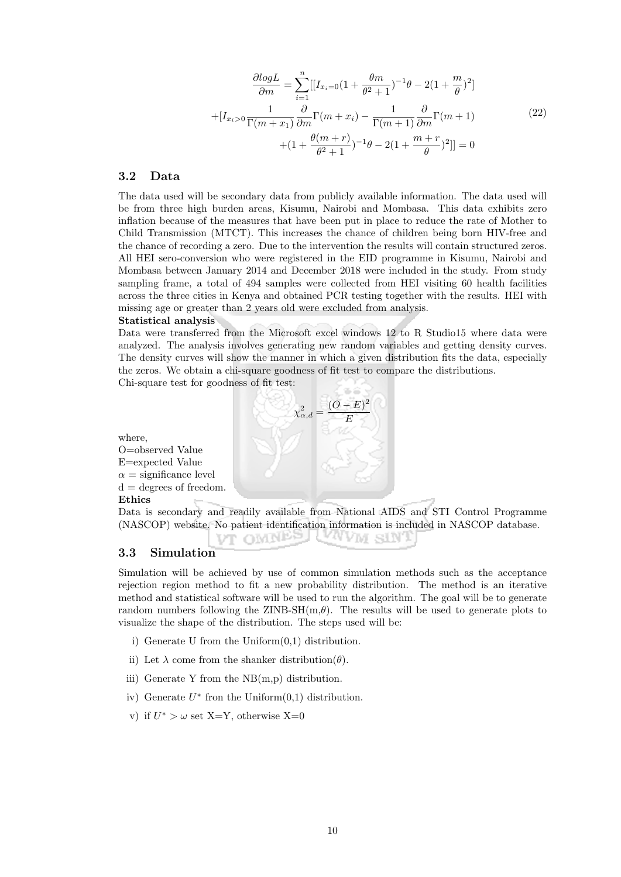$$
\frac{\partial logL}{\partial m} = \sum_{i=1}^{n} \left[ \left[ I_{x_i=0} \left( 1 + \frac{\theta m}{\theta^2 + 1} \right)^{-1} \theta - 2 \left( 1 + \frac{m}{\theta} \right)^2 \right] + \left[ I_{x_i>0} \frac{1}{\Gamma(m+x_1)} \frac{\partial}{\partial m} \Gamma(m+x_i) - \frac{1}{\Gamma(m+1)} \frac{\partial}{\partial m} \Gamma(m+1) + \left( 1 + \frac{\theta(m+r)}{\theta^2 + 1} \right)^{-1} \theta - 2 \left( 1 + \frac{m+r}{\theta} \right)^2 \right] = 0
$$
\n(22)

#### 3.2 Data

The data used will be secondary data from publicly available information. The data used will be from three high burden areas, Kisumu, Nairobi and Mombasa. This data exhibits zero inflation because of the measures that have been put in place to reduce the rate of Mother to Child Transmission (MTCT). This increases the chance of children being born HIV-free and the chance of recording a zero. Due to the intervention the results will contain structured zeros. All HEI sero-conversion who were registered in the EID programme in Kisumu, Nairobi and Mombasa between January 2014 and December 2018 were included in the study. From study sampling frame, a total of 494 samples were collected from HEI visiting 60 health facilities across the three cities in Kenya and obtained PCR testing together with the results. HEI with missing age or greater than 2 years old were excluded from analysis. Statistical analysis

Data were transferred from the Microsoft excel windows 12 to R Studio15 where data were analyzed. The analysis involves generating new random variables and getting density curves. The density curves will show the manner in which a given distribution fits the data, especially the zeros. We obtain a chi-square goodness of fit test to compare the distributions.

Chi-square test for goodness of fit test:

 $\chi^2_{\alpha,d} = \frac{(O-E)^2}{F}$ E O=observed Value E=expected Value  $\alpha$  = significance level  $d =$  degrees of freedom.

Ethics Data is secondary and readily available from National AIDS and STI Control Programme (NASCOP) website. No patient identification information is included in NASCOP database.

vt omnpel (Yvvm sin

#### 3.3 Simulation

where,

Simulation will be achieved by use of common simulation methods such as the acceptance rejection region method to fit a new probability distribution. The method is an iterative method and statistical software will be used to run the algorithm. The goal will be to generate random numbers following the  $ZINB-SH(m,\theta)$ . The results will be used to generate plots to visualize the shape of the distribution. The steps used will be:

- i) Generate U from the Uniform(0,1) distribution.
- ii) Let  $\lambda$  come from the shanker distribution( $\theta$ ).
- iii) Generate Y from the NB(m,p) distribution.
- iv) Generate  $U^*$  fron the Uniform $(0,1)$  distribution.
- v) if  $U^* > \omega$  set X=Y, otherwise X=0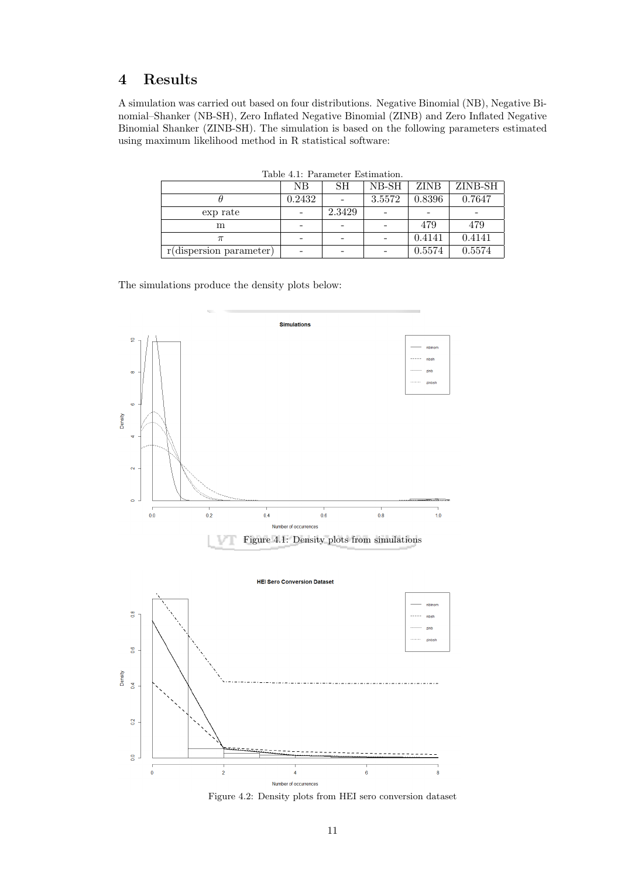# 4 Results

A simulation was carried out based on four distributions. Negative Binomial (NB), Negative Binomial–Shanker (NB-SH), Zero Inflated Negative Binomial (ZINB) and Zero Inflated Negative Binomial Shanker (ZINB-SH). The simulation is based on the following parameters estimated using maximum likelihood method in R statistical software:

|                            | NB     | SН     | NB-SH  | ZINB   | ZINB-SH |  |  |
|----------------------------|--------|--------|--------|--------|---------|--|--|
|                            | 0.2432 |        | 3.5572 | 0.8396 | 0.7647  |  |  |
| exp rate                   |        | 2.3429 |        |        |         |  |  |
| m                          |        |        |        | 479    | 479     |  |  |
| $\pi$                      |        |        |        | 0.4141 | 0.4141  |  |  |
| $r$ (dispersion parameter) |        |        |        | 0.5574 | 0.5574  |  |  |

Table 4.1: Parameter Estimation.

The simulations produce the density plots below:



Figure 4.2: Density plots from HEI sero conversion dataset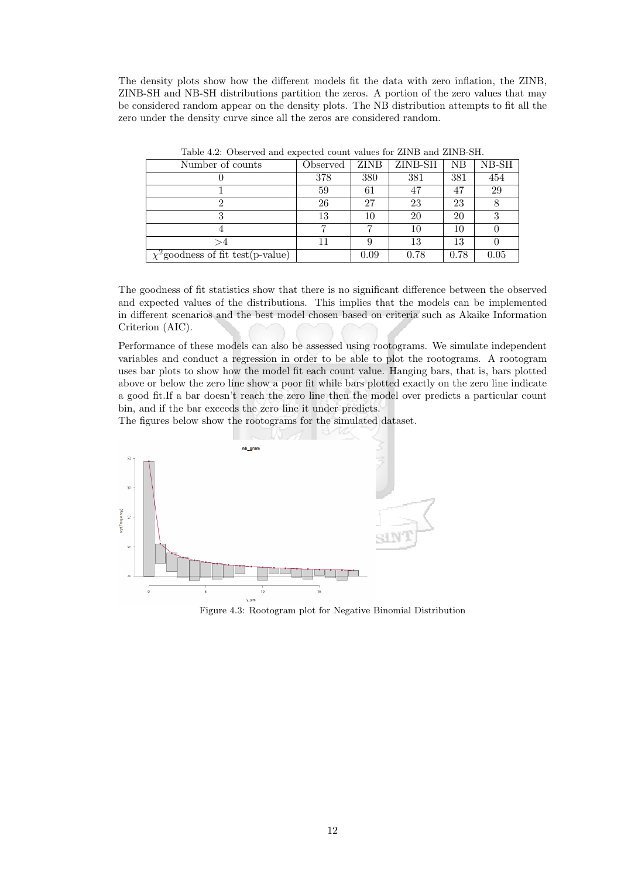The density plots show how the different models fit the data with zero inflation, the ZINB, ZINB-SH and NB-SH distributions partition the zeros. A portion of the zero values that may be considered random appear on the density plots. The NB distribution attempts to fit all the zero under the density curve since all the zeros are considered random.

| Number of counts                       | Observed | <b>ZINB</b> | ZINB-SH | NB   | $NB-SH$ |
|----------------------------------------|----------|-------------|---------|------|---------|
|                                        | 378      | 380         | 381     | 381  | 454     |
|                                        | 59       | 61          | 47      | 47   | 29      |
|                                        | 26       | 27          | 23      | 23   |         |
|                                        | 13       | 10          | 20      | 20   | 3       |
|                                        |          |             | 10      | 10   |         |
|                                        |          |             | 13      | 13   |         |
| $\chi^2$ goodness of fit test(p-value) |          | 0.09        | 0.78    | 0.78 | 0.05    |

Table 4.2: Observed and expected count values for ZINB and ZINB-SH.

The goodness of fit statistics show that there is no significant difference between the observed and expected values of the distributions. This implies that the models can be implemented in different scenarios and the best model chosen based on criteria such as Akaike Information Criterion (AIC).

Performance of these models can also be assessed using rootograms. We simulate independent variables and conduct a regression in order to be able to plot the rootograms. A rootogram uses bar plots to show how the model fit each count value. Hanging bars, that is, bars plotted above or below the zero line show a poor fit while bars plotted exactly on the zero line indicate a good fit.If a bar doesn't reach the zero line then the model over predicts a particular count bin, and if the bar exceeds the zero line it under predicts.

The figures below show the rootograms for the simulated dataset.



Figure 4.3: Rootogram plot for Negative Binomial Distribution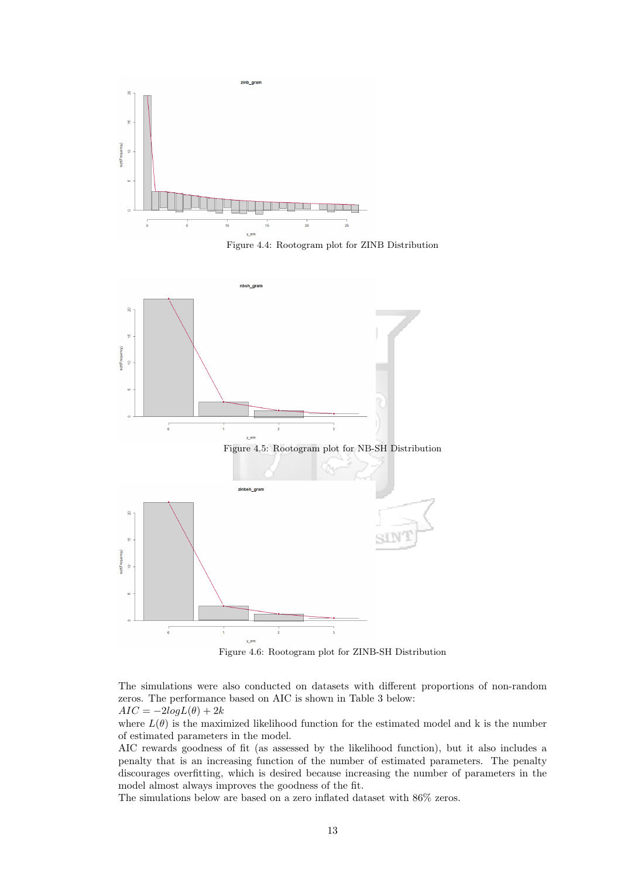

Figure 4.4: Rootogram plot for ZINB Distribution



Figure 4.6: Rootogram plot for ZINB-SH Distribution

The simulations were also conducted on datasets with different proportions of non-random zeros. The performance based on AIC is shown in Table 3 below:

 $AIC = -2logL(\theta) + 2k$ 

where  $L(\theta)$  is the maximized likelihood function for the estimated model and k is the number of estimated parameters in the model.

AIC rewards goodness of fit (as assessed by the likelihood function), but it also includes a penalty that is an increasing function of the number of estimated parameters. The penalty discourages overfitting, which is desired because increasing the number of parameters in the model almost always improves the goodness of the fit.

The simulations below are based on a zero inflated dataset with 86% zeros.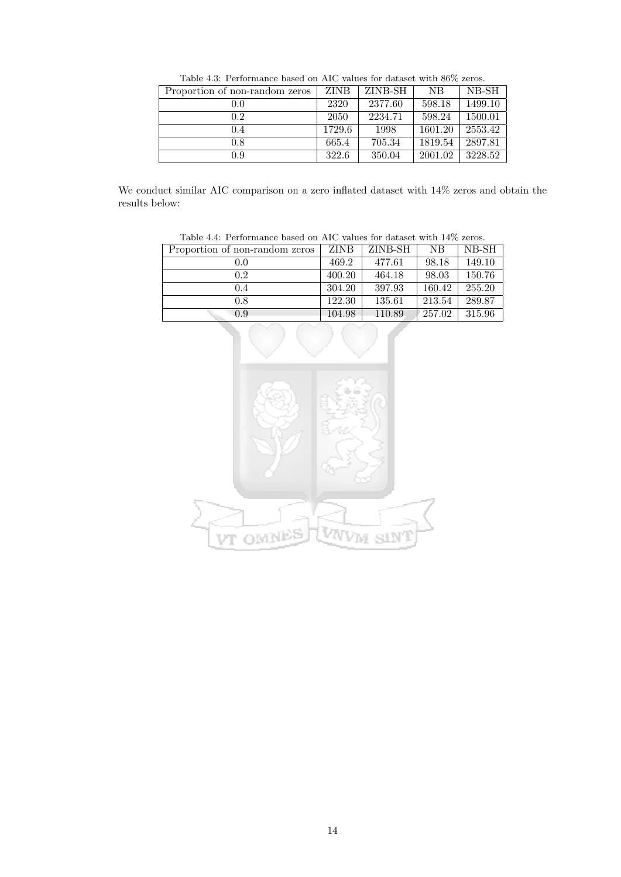| Proportion of non-random zeros | <b>ZINB</b> | ZINB-SH | NB      | NB-SH   |  |  |
|--------------------------------|-------------|---------|---------|---------|--|--|
| 0.0                            | 2320        | 2377.60 | 598.18  | 1499.10 |  |  |
| 0.2                            | 2050        | 2234.71 | 598.24  | 1500.01 |  |  |
| 0.4                            | 1729.6      | 1998    | 1601.20 | 2553.42 |  |  |
| 0.8                            | 665.4       | 705.34  | 1819.54 | 2897.81 |  |  |
| 0.9                            | 322.6       | 350.04  | 2001.02 | 3228.52 |  |  |

Table 4.3: Performance based on AIC values for dataset with 86% zeros.

We conduct similar AIC comparison on a zero inflated dataset with 14% zeros and obtain the results below:

| Table 4.4: Performance based on AIC values for dataset with 14% zeros. |             |         |        |        |  |  |
|------------------------------------------------------------------------|-------------|---------|--------|--------|--|--|
| Proportion of non-random zeros                                         | <b>ZINB</b> | ZINB-SH | NB.    | NB-SH  |  |  |
| 0.0                                                                    | 469.2       | 477.61  | 98.18  | 149.10 |  |  |
| 0.2                                                                    | 400.20      | 464.18  | 98.03  | 150.76 |  |  |
| 0.4                                                                    | 304.20      | 397.93  | 160.42 | 255.20 |  |  |
| 0.8                                                                    | 122.30      | 135.61  | 213.54 | 289.87 |  |  |
| 0.9                                                                    | 104.98      | 110.89  | 257.02 | 315.96 |  |  |

Table 4.4: Performance based on AIC values for dataset with 14% zeros.

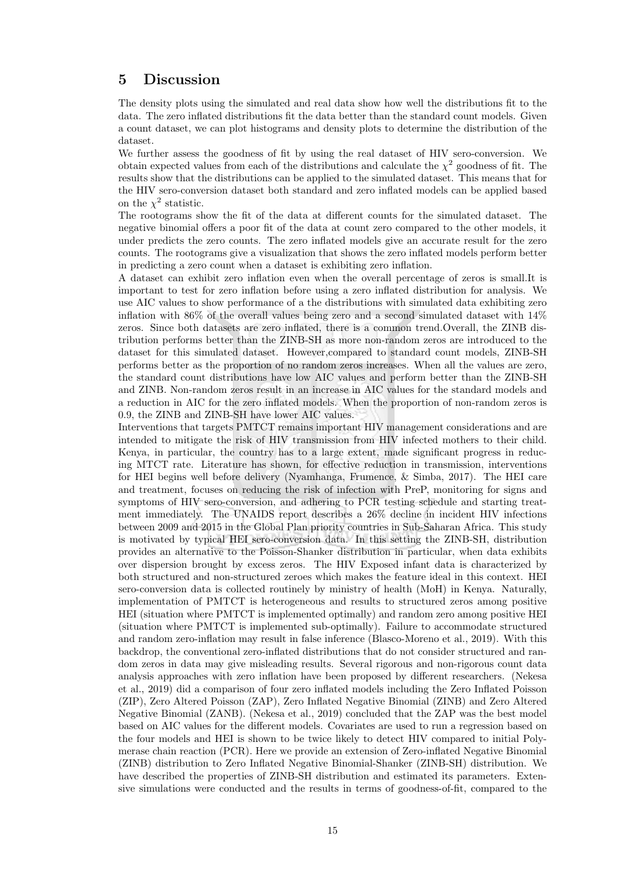# 5 Discussion

The density plots using the simulated and real data show how well the distributions fit to the data. The zero inflated distributions fit the data better than the standard count models. Given a count dataset, we can plot histograms and density plots to determine the distribution of the dataset.

We further assess the goodness of fit by using the real dataset of HIV sero-conversion. We obtain expected values from each of the distributions and calculate the  $\chi^2$  goodness of fit. The results show that the distributions can be applied to the simulated dataset. This means that for the HIV sero-conversion dataset both standard and zero inflated models can be applied based on the  $\chi^2$  statistic.

The rootograms show the fit of the data at different counts for the simulated dataset. The negative binomial offers a poor fit of the data at count zero compared to the other models, it under predicts the zero counts. The zero inflated models give an accurate result for the zero counts. The rootograms give a visualization that shows the zero inflated models perform better in predicting a zero count when a dataset is exhibiting zero inflation.

A dataset can exhibit zero inflation even when the overall percentage of zeros is small.It is important to test for zero inflation before using a zero inflated distribution for analysis. We use AIC values to show performance of a the distributions with simulated data exhibiting zero inflation with 86% of the overall values being zero and a second simulated dataset with 14% zeros. Since both datasets are zero inflated, there is a common trend.Overall, the ZINB distribution performs better than the ZINB-SH as more non-random zeros are introduced to the dataset for this simulated dataset. However,compared to standard count models, ZINB-SH performs better as the proportion of no random zeros increases. When all the values are zero, the standard count distributions have low AIC values and perform better than the ZINB-SH and ZINB. Non-random zeros result in an increase in AIC values for the standard models and a reduction in AIC for the zero inflated models. When the proportion of non-random zeros is 0.9, the ZINB and ZINB-SH have lower AIC values.

Interventions that targets PMTCT remains important HIV management considerations and are intended to mitigate the risk of HIV transmission from HIV infected mothers to their child. Kenya, in particular, the country has to a large extent, made significant progress in reducing MTCT rate. Literature has shown, for effective reduction in transmission, interventions for HEI begins well before delivery (Nyamhanga, Frumence, & Simba, 2017). The HEI care and treatment, focuses on reducing the risk of infection with PreP, monitoring for signs and symptoms of HIV sero-conversion, and adhering to PCR testing schedule and starting treatment immediately. The UNAIDS report describes a 26% decline in incident HIV infections between 2009 and 2015 in the Global Plan priority countries in Sub-Saharan Africa. This study is motivated by typical HEI sero-conversion data. In this setting the ZINB-SH, distribution provides an alternative to the Poisson-Shanker distribution in particular, when data exhibits over dispersion brought by excess zeros. The HIV Exposed infant data is characterized by both structured and non-structured zeroes which makes the feature ideal in this context. HEI sero-conversion data is collected routinely by ministry of health (MoH) in Kenya. Naturally, implementation of PMTCT is heterogeneous and results to structured zeros among positive HEI (situation where PMTCT is implemented optimally) and random zero among positive HEI (situation where PMTCT is implemented sub-optimally). Failure to accommodate structured and random zero-inflation may result in false inference (Blasco-Moreno et al., 2019). With this backdrop, the conventional zero-inflated distributions that do not consider structured and random zeros in data may give misleading results. Several rigorous and non-rigorous count data analysis approaches with zero inflation have been proposed by different researchers. (Nekesa et al., 2019) did a comparison of four zero inflated models including the Zero Inflated Poisson (ZIP), Zero Altered Poisson (ZAP), Zero Inflated Negative Binomial (ZINB) and Zero Altered Negative Binomial (ZANB). (Nekesa et al., 2019) concluded that the ZAP was the best model based on AIC values for the different models. Covariates are used to run a regression based on the four models and HEI is shown to be twice likely to detect HIV compared to initial Polymerase chain reaction (PCR). Here we provide an extension of Zero-inflated Negative Binomial (ZINB) distribution to Zero Inflated Negative Binomial-Shanker (ZINB-SH) distribution. We have described the properties of ZINB-SH distribution and estimated its parameters. Extensive simulations were conducted and the results in terms of goodness-of-fit, compared to the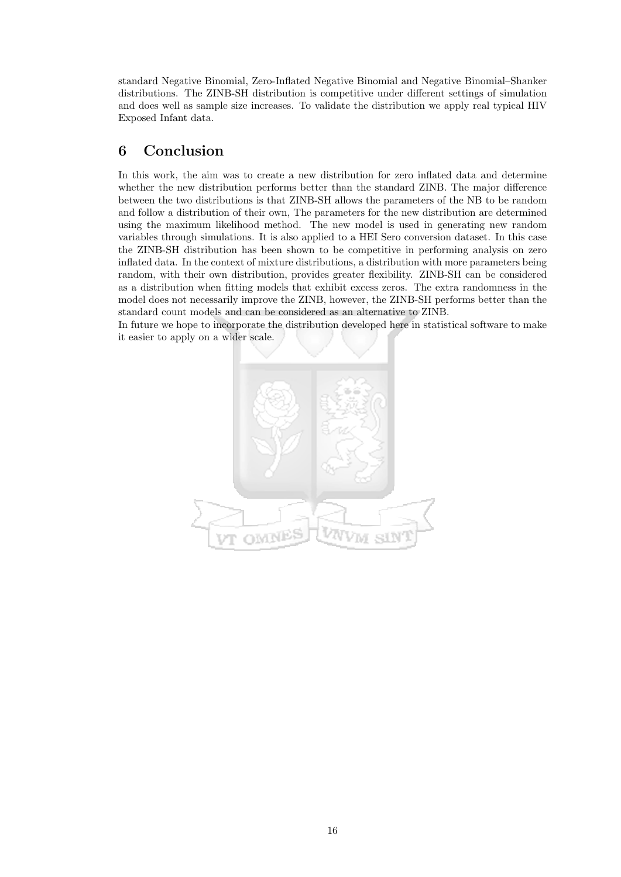standard Negative Binomial, Zero-Inflated Negative Binomial and Negative Binomial–Shanker distributions. The ZINB-SH distribution is competitive under different settings of simulation and does well as sample size increases. To validate the distribution we apply real typical HIV Exposed Infant data.

# 6 Conclusion

In this work, the aim was to create a new distribution for zero inflated data and determine whether the new distribution performs better than the standard ZINB. The major difference between the two distributions is that ZINB-SH allows the parameters of the NB to be random and follow a distribution of their own, The parameters for the new distribution are determined using the maximum likelihood method. The new model is used in generating new random variables through simulations. It is also applied to a HEI Sero conversion dataset. In this case the ZINB-SH distribution has been shown to be competitive in performing analysis on zero inflated data. In the context of mixture distributions, a distribution with more parameters being random, with their own distribution, provides greater flexibility. ZINB-SH can be considered as a distribution when fitting models that exhibit excess zeros. The extra randomness in the model does not necessarily improve the ZINB, however, the ZINB-SH performs better than the standard count models and can be considered as an alternative to ZINB.

In future we hope to incorporate the distribution developed here in statistical software to make it easier to apply on a wider scale.

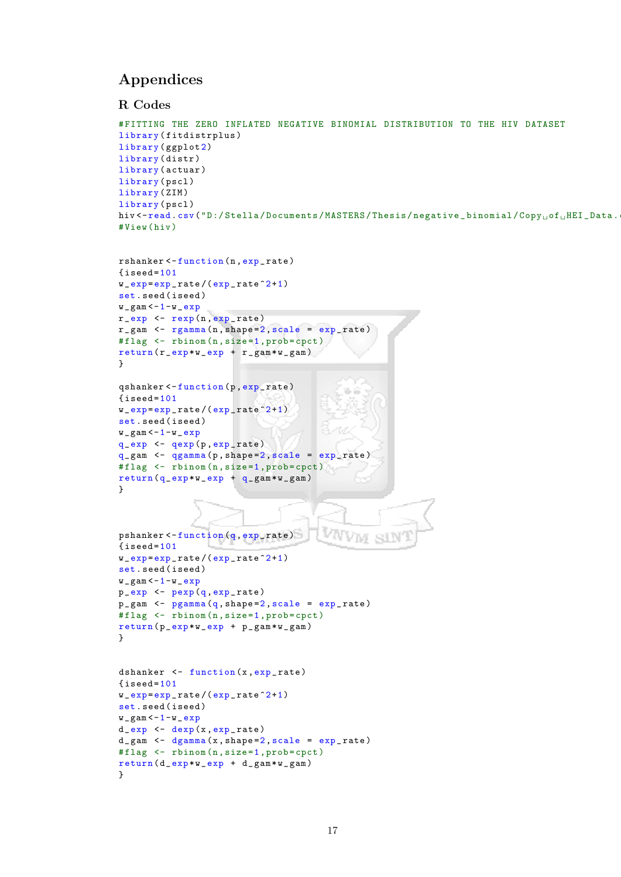# Appendices

#### R Codes

```
# FITTING THE ZERO INFLATED NEGATIVE BINOMIAL DISTRIBUTION TO THE HIV DATASET
library ( fitdistrplus )
library (ggplot2)
library ( distr )
library (actuar)
library (pscl)
library (ZIM)
library (pscl)
hiv <- read.csv("D:/Stella/Documents/MASTERS/Thesis/negative_binomial/Copy<sub>u</sub>of<sub>u</sub>HEI_Data.
# View ( hiv )
rshanker <- function (n, exp_rate)
{\small 1} iseed=101
w_{\texttt{exp}} = exp_{\texttt{rate}} / (exp_{\texttt{exp}} - rate^{-2} + 1)set . seed ( iseed )
w_{\text{max}} < -1-w_{\text{max}}r_{\texttt{exp}} <- r_{\texttt{exp}}(n, \texttt{exp}_{\texttt{exp}})r_{\text{ram}} <- r_{\text{gamma}}(n, shape=2, scale = exp_{\text{rate}})#flag <- rbinom (n, size=1, prob=cpct)
return (r_{exp} * w_{exp} + r_{gamma} * w_{max})}
qshanker <- function (p, exp_rate)
{\text{iseed}=101}w_{\texttt{exp}} = exp_{\texttt{rate}} / (exp_{\texttt{exp}} - rate^{-2+1})set . seed ( iseed )
w_{\text{max}} < -1-w_{\text{max}}q<sub>-</sub>exp <- qexp(p, exp<sub>-</sub>rate)<mark>q_gam <- qgamma(p,shape=2,scale = exp_rate)</mark>
# flag <- rbinom (n , size =1, prob = cpct )
return (q_{exp} * w_{exp} + q_{gamma} * w_{max})}
pshanker <- function (q, exp_rate)
{i<sub>seed</sub> = 101}w_{\texttt{exp}} = exp_{\texttt{exp}} rate/(exp_{\texttt{exp}} rate<sup>2+1</sup>)
set . seed ( iseed )
w_{\text{max}} < -1-w_{\text{max}}p_{exp} <- p_{exp}(q, exp_{rate})p_{gam} <- pgamma(q, shape=2, scale = exp_{rate})# flag \leftarrow rbinom (n, size = 1, prob = cpct)
return ( p\_exp * w\_exp + p\_gam * w\_gam )}
dshanker \leftarrow function (x, exp_{rate}){i}seed=101
w_{\texttt{exp}} = exp_{\texttt{exp}}rate/(exp_{\texttt{exp}}rate<sup>2+1</sup>)
set . seed ( iseed )
w_{\texttt{u}}gam \texttt{<} - 1 - w_{\texttt{u}}exp
d_{\texttt{exp}} \leftarrow \texttt{dexp}(x, \texttt{exp\_rate})d_{\texttt{q}} = \texttt{q}_{\texttt{q}} <- d_{\texttt{q}} = \texttt{q}_{\texttt{q}} and d_{\texttt{q}} (x, shape=2, scale = \texttt{exp}_{\texttt{q}} rate)
#flag <- rbinom (n, size=1, prob=cpct)
```
 $return ( d_{exp} * w_{exp} + d_{gamma} w_{max})$ 

}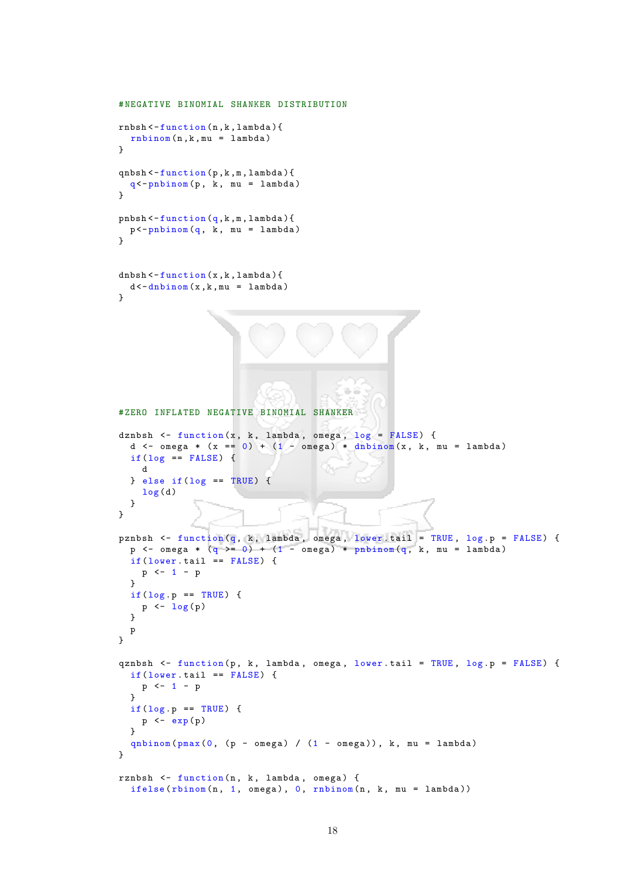```
# NEGATIVE BINOMIAL SHANKER DISTRIBUTION
rnbsh < - function (n ,k , lambda ){
  rnbinom(n, k, mu = lambda)}
qnbsh < - function (p ,k ,m , lambda ){
  q<-pnbinom(p, k, mu =lambda)
}
pnbsh < - function (q, k, m, lambda) {
 p < - pnbinom (q, k, mu = lambda)
\mathbf{r}dhbsh < -function(x, k, lambda){
  d < -dhbinom(x, k, mu = lambda)}
# ZERO INFLATED NEGATIVE BINOMIAL SHANKER
dznbsh \leq function (x, k, \text{lambda}, \text{omega}, \text{log} = \text{FALSE}) {
  d \langle - omega * (x == 0) + (1 - omega) * dnbinom (x, k, mu = lambda)
  if(log == FALSE) {
    d
  } else if(log == TRUE) {
    log(d)}
}
pznbsh <- function (q, k, lambda, omega, lower.tail = TRUE, log.p = FALSE) {
  p <- omega * (q \ge 0) + (1 - \text{omega}) * pnbinom(q, k, mu = lambda)
  if( lower.tail == FALSE) {
    p \le -1 - p\mathbf{I}if(log.p == TRUE) {
    p \leftarrow \log(p)}
  p
}
qznbsh \le function (p, k, \text{lambda}, \text{omega}, \text{lower tail} = \text{TRUE}, \text{log.p} = \text{FALSE} {
  if( lower.tail == FALSE) {
   p \leftarrow 1 - p\mathbf{r}if(log.p == TRUE) {
    p \leftarrow exp(p)}
  qnbinom (pmax(0, (p -omega) / (1 -omega) , k, mu = lambda)
}
rznbsh <- function (n, k, lambda, omega) {
  ifelse(rbinom(n, 1, omega), 0, rhbinom(n, k, mu = lambda))
```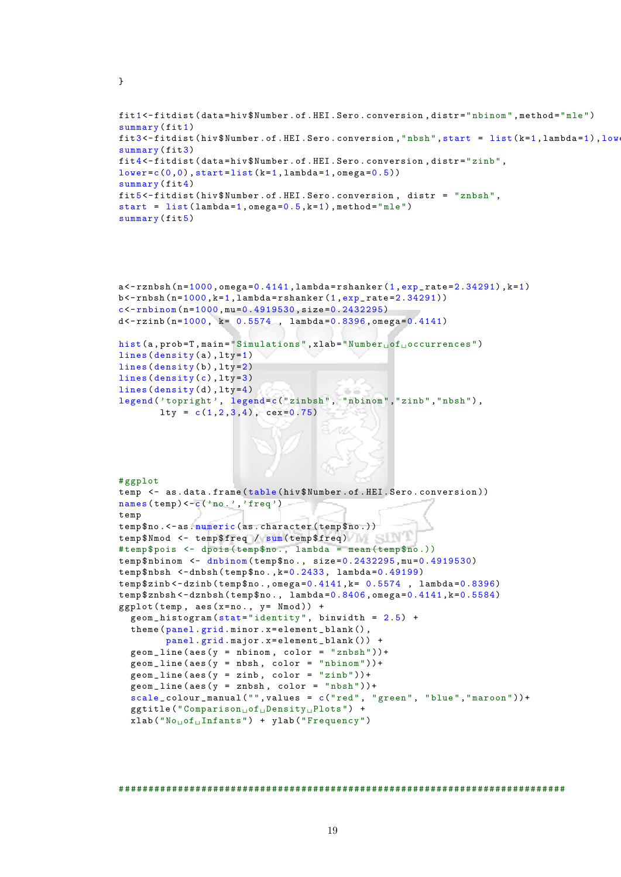```
}
```

```
fit 1<-fitdist (data=hiv $ Number . of . HEI . Sero . conversion, distr="nbinom", method="mle")
summary (fit1)
fit3 < -fitdist (hiv $ Number . of . HEI . Sero . conversion, "nbsh", start = list (k=1, lambda=1), low
summary (fit3)
fit 4 <- fitdist (data=hiv $ Number . of . HEI . Sero . conversion, distr="zinb",
lower = c(0,0), start = list(k = 1, lambda = 1,omega = 0.5))summarv(fit4)fit 5 <- fitdist ( hiv $ Number . of . HEI . Sero . conversion , distr = " znbsh ",
start = list(lambda=1,omega=0.5,k=1), method="mle")
summary (fit5)
```

```
a < -rznbsh (n=1000, omega=0.4141, lambda=rshanker (1, exp_rate=2.34291), k=1)
b < - rnbsh (n=1000, k=1, 1 ambda = rshanker (1, exp<sub>-</sub> rate = 2.34291))
c < -rnbinom (n=1000, mu=0.4919530, size=0.2432295)
d < -r \sinh(n = 1000, k = 0.5574, \tlambda) lambda=0.8396, omega=0.4141)
hist (a, prob=T, main="Simulations", xlab="Number<sub>u</sub>of<sub>u</sub>occurrences")
lines (density (a), lty=1)
lines (density ( b) , lty=2)lines (density (c), lty=3)
lines (density ( d ), lty=4)\alpha \leq
```

```
legend ('topright', legend=c("zinbsh", "nbinom", "zinb", "nbsh"),
       lty = c(1, 2, 3, 4), cex=0.75)
```

```
# ggplot
temp <- as.data.frame(table(hiv$Number.of.HEI.Sero.conversion))
names(temp) < -c' ( 'no' , 'freq' )temp
temp$no. <-as. numeric (as. character (temp$no.))
temp$Nmod <- temp$freq / sum(temp$freq)
#temp$pois <- dpois (temp$no., lambda = mean (temp$no.))
temp$nbinom <- dnbinom (temp$no., size=0.2432295,mu=0.4919530)
temp$nbsh <-dnbsh (temp$no., k=0.2433, lambda=0.49199)
temp $ zinb < - dzinb (temp $ no ., omega = 0.4141, k = 0.5574, lambda = 0.8396)
temp$znbsh <-dznbsh (temp$no., lambda=0.8406, omega=0.4141, k=0.5584)
ggplot(temp, aes(x=no., y= Nmod)) +
  geom\_histogram (stat="identity", binwidth = 2.5) +
  theme ( panel . grid . minor . x = element _ blank ( ) ,
        panel . grid . major . x = element _ blank ()) +
  geomline (aes (y = nbinom, color = "znbsh"))+
  geom\_line (aes (y = nbsh, color = "nbinom"))+
  geom\_line (aes (y = zinb, color = "zinb"))+
  geom\_line (~aes (y = znbsh, ~color = "nbsh"))+
  scale_colour_manual ("", values = c("red", "green", "blue", "maroon"))+
  ggtitle ("Comparison\text{or} \text{of } \text{Density }") +
  xlab("No<sub>□</sub> of<sub>□</sub> Infants") + ylab("Frequency")
```
# ###########################################################################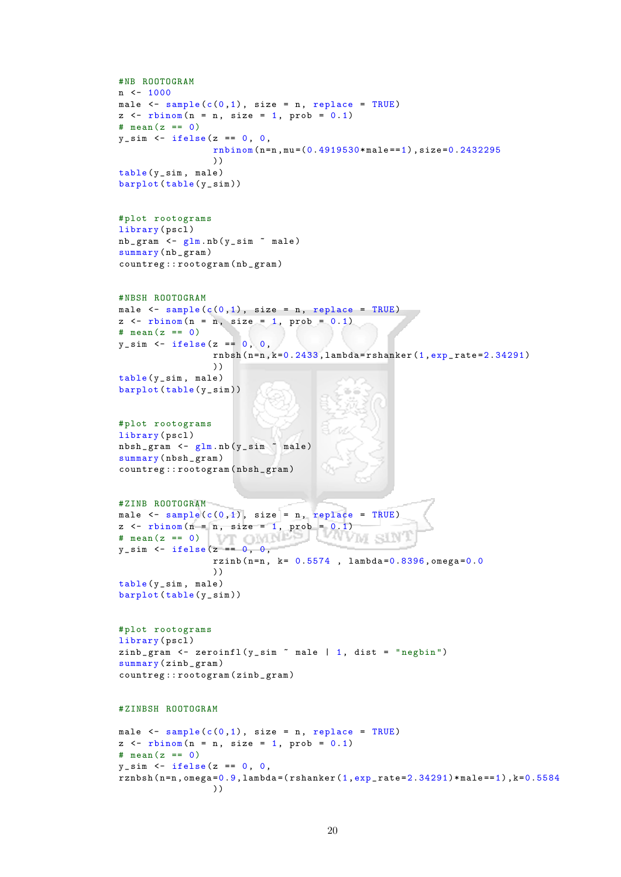```
# NB ROOTOGRAM
n \le -1000male \leq sample (c(0,1)), size = n, replace = TRUE)
z \leq - rbinom (n = n, size = 1, prob = 0.1)
# mean(z == 0)y_s = \sin \left( z - \text{ifelse} \right) (z) = 0, 0,rnbinom(n=n, mu=(0.4919530*male==1), size=0.2432295))
table (y_sim, male)
barplot(table(y_sim))# plot rootograms
library ( pscl )
nb_{\texttt{gram}} < -glm \cdot nb(y_{\texttt{sim}} \text{ 'male})summary (nb_gram)
countreg :: rootogram ( nb _ gram )
# NBSH ROOTOGRAM
male \leq sample (c(0,1)), size = n, replace = TRUE)
z \leq - rbinom (n = n, size = 1, prob = 0.1)
# mean (z == 0)y_s = \sin \left( - \frac{1}{2} \right) if else (z_i) = 0, 0,
                   rnbsh(n=n, k=0.2433, lambda = rshanker(1, exp_rate = 2.34291)))
table (y_sim, male)
barplot (table (y_sim))
# plot rootograms
library (pscl)
nbsh_gram <- glm.nb(y_sim ~ male)
summary (nbsh_gram)
countreg :: rootogram ( nbsh _ gram )
# ZINB ROOTOGRAM
male \leq sample (c(0,1)), size = n, replace = TRUE)
z \leq - rbinom (n = n, \text{ size } = 1, \text{ prob } = 0.1)# mean (z == 0) VT \bigcirc MIN
                                    빗 년
                                             CVIVI.
                                                    SW)
y_sim <- ifelse(z == 0, 0,
                   rzinh(n=n, k=0.5574, lambda=0.8396, omega=0.0))
table (y_sim, male)
barplot (table (y_sim))
# plot rootograms
library (pscl)
zinb_gram <- zeroinfl(y\_sim * male | 1, dist = "negbin")
summary (zinb_gram)
countreg :: rootogram ( zinb _ gram )
# ZINBSH ROOTOGRAM
male \leq sample (c(0,1)), size = n, replace = TRUE)
z \leq - rbinom (n = n, size = 1, prob = 0.1)
# mean(z == 0)y_s = \sin \left( z - i \text{felse} \right) == 0, 0,
rznbsh(n=n,omega=0.9,lambda=(rshanker(1,exp_rate=2.34291)*male==1), k=0.5584))
```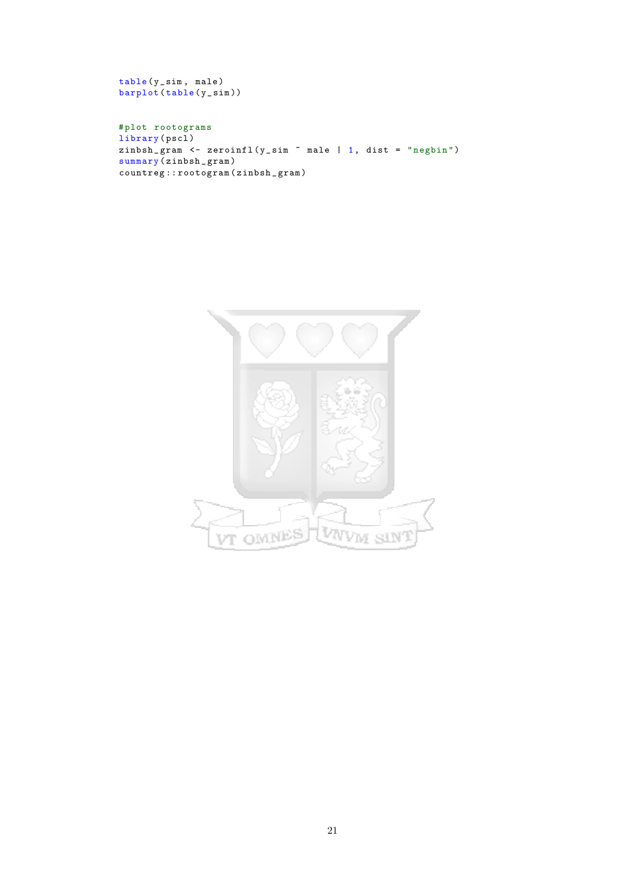```
table (y_sim, male)
barplot (table (y_sim))
```
# plot rootograms library (pscl) zinbsh \_ gram <- zeroinfl ( y \_ sim ~ male | 1, dist = " negbin ") summary ( zinbsh \_ gram ) countreg :: rootogram ( zinbsh \_ gram )

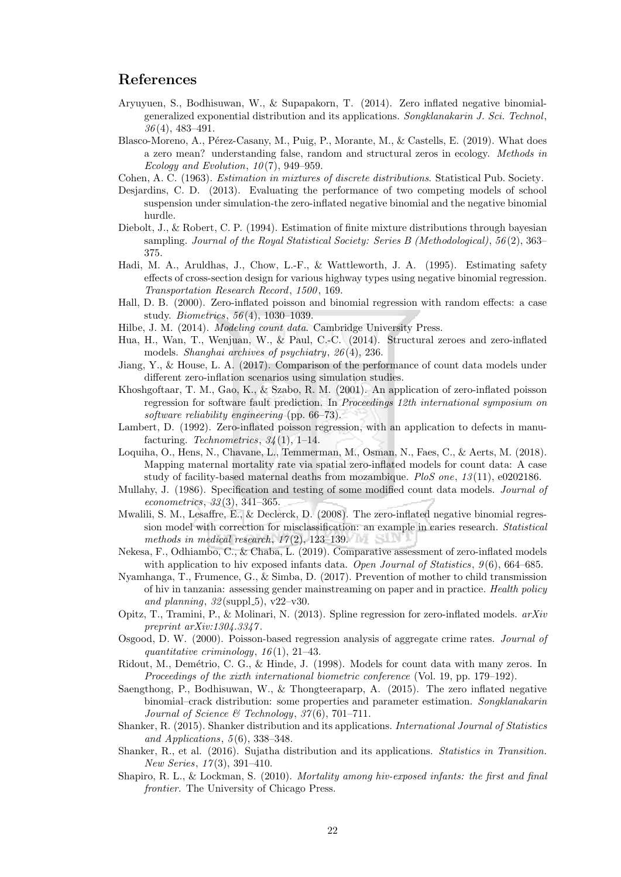## References

- Aryuyuen, S., Bodhisuwan, W., & Supapakorn, T. (2014). Zero inflated negative binomialgeneralized exponential distribution and its applications. Songklanakarin J. Sci. Technol, 36 (4), 483–491.
- Blasco-Moreno, A., Pérez-Casany, M., Puig, P., Morante, M., & Castells, E. (2019). What does a zero mean? understanding false, random and structural zeros in ecology. Methods in Ecology and Evolution,  $10(7)$ , 949–959.
- Cohen, A. C. (1963). Estimation in mixtures of discrete distributions. Statistical Pub. Society.
- Desjardins, C. D. (2013). Evaluating the performance of two competing models of school suspension under simulation-the zero-inflated negative binomial and the negative binomial hurdle.
- Diebolt, J., & Robert, C. P. (1994). Estimation of finite mixture distributions through bayesian sampling. Journal of the Royal Statistical Society: Series B (Methodological), 56(2), 363– 375.
- Hadi, M. A., Aruldhas, J., Chow, L.-F., & Wattleworth, J. A. (1995). Estimating safety effects of cross-section design for various highway types using negative binomial regression. Transportation Research Record, 1500 , 169.
- Hall, D. B. (2000). Zero-inflated poisson and binomial regression with random effects: a case study. Biometrics, 56 (4), 1030–1039.
- Hilbe, J. M. (2014). Modeling count data. Cambridge University Press.
- Hua, H., Wan, T., Wenjuan, W., & Paul, C.-C. (2014). Structural zeroes and zero-inflated models. Shanghai archives of psychiatry, 26 (4), 236.
- Jiang, Y., & House, L. A. (2017). Comparison of the performance of count data models under different zero-inflation scenarios using simulation studies.
- Khoshgoftaar, T. M., Gao, K., & Szabo, R. M. (2001). An application of zero-inflated poisson regression for software fault prediction. In Proceedings 12th international symposium on software reliability engineering (pp. 66–73).
- Lambert, D. (1992). Zero-inflated poisson regression, with an application to defects in manufacturing. Technometrics,  $34(1)$ , 1–14.
- Loquiha, O., Hens, N., Chavane, L., Temmerman, M., Osman, N., Faes, C., & Aerts, M. (2018). Mapping maternal mortality rate via spatial zero-inflated models for count data: A case study of facility-based maternal deaths from mozambique. PloS one, 13 (11), e0202186.
- Mullahy, J. (1986). Specification and testing of some modified count data models. Journal of  $econometrics, 33(3), 341-365.$
- Mwalili, S. M., Lesaffre, E., & Declerck, D. (2008). The zero-inflated negative binomial regression model with correction for misclassification: an example in caries research. Statistical methods in medical research,  $17(2)$ ,  $123-139$ .
- Nekesa, F., Odhiambo, C., & Chaba, L. (2019). Comparative assessment of zero-inflated models with application to hiv exposed infants data. Open Journal of Statistics,  $9(6)$ , 664–685.
- Nyamhanga, T., Frumence, G., & Simba, D. (2017). Prevention of mother to child transmission of hiv in tanzania: assessing gender mainstreaming on paper and in practice. Health policy and planning,  $32$  (suppl -5),  $v22-v30$ .
- Opitz, T., Tramini, P., & Molinari, N. (2013). Spline regression for zero-inflated models. arXiv preprint arXiv:1304.3347 .
- Osgood, D. W. (2000). Poisson-based regression analysis of aggregate crime rates. Journal of quantitative criminology,  $16(1)$ ,  $21-43$ .
- Ridout, M., Demétrio, C. G., & Hinde, J. (1998). Models for count data with many zeros. In Proceedings of the xixth international biometric conference (Vol. 19, pp. 179–192).
- Saengthong, P., Bodhisuwan, W., & Thongteeraparp, A. (2015). The zero inflated negative binomial–crack distribution: some properties and parameter estimation. Songklanakarin Journal of Science & Technology,  $37(6)$ ,  $701-711$ .
- Shanker, R. (2015). Shanker distribution and its applications. International Journal of Statistics and Applications,  $5(6)$ , 338-348.
- Shanker, R., et al. (2016). Sujatha distribution and its applications. Statistics in Transition. New Series, 17(3), 391-410.
- Shapiro, R. L., & Lockman, S. (2010). Mortality among hiv-exposed infants: the first and final frontier. The University of Chicago Press.